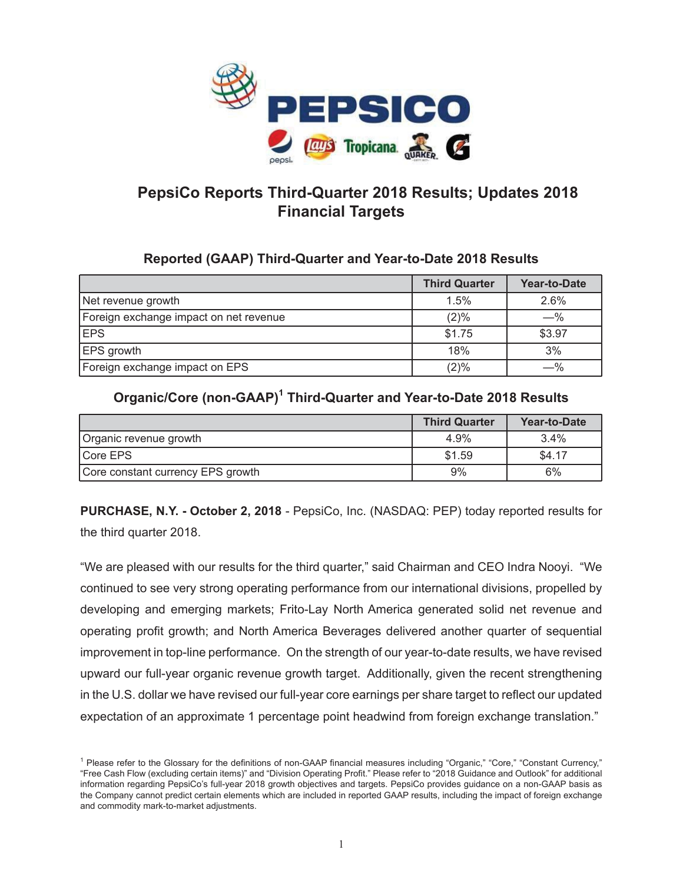

# **PepsiCo Reports Third-Quarter 2018 Results; Updates 2018 Financial Targets**

### **Reported (GAAP) Third-Quarter and Year-to-Date 2018 Results**

|                                        | <b>Third Quarter</b> | Year-to-Date |
|----------------------------------------|----------------------|--------------|
| Net revenue growth                     | 1.5%                 | 2.6%         |
| Foreign exchange impact on net revenue | (2)%                 | $- \%$       |
| <b>IEPS</b>                            | \$1.75               | \$3.97       |
| <b>EPS</b> growth                      | 18%                  | 3%           |
| Foreign exchange impact on EPS         | (2)%                 | —%           |

# **Organic/Core (non-GAAP)1 Third-Quarter and Year-to-Date 2018 Results**

|                                   | <b>Third Quarter</b> | Year-to-Date |
|-----------------------------------|----------------------|--------------|
| Organic revenue growth            | 4.9%                 | 3.4%         |
| <b>ICore EPS</b>                  | \$1.59               | \$4.17       |
| Core constant currency EPS growth | 9%                   | 6%           |

**PURCHASE, N.Y. - October 2, 2018** - PepsiCo, Inc. (NASDAQ: PEP) today reported results for the third quarter 2018.

"We are pleased with our results for the third quarter," said Chairman and CEO Indra Nooyi. "We continued to see very strong operating performance from our international divisions, propelled by developing and emerging markets; Frito-Lay North America generated solid net revenue and operating profit growth; and North America Beverages delivered another quarter of sequential improvement in top-line performance. On the strength of our year-to-date results, we have revised upward our full-year organic revenue growth target. Additionally, given the recent strengthening in the U.S. dollar we have revised our full-year core earnings per share target to reflect our updated expectation of an approximate 1 percentage point headwind from foreign exchange translation."

<sup>&</sup>lt;sup>1</sup> Please refer to the Glossary for the definitions of non-GAAP financial measures including "Organic," "Core," "Constant Currency," "Free Cash Flow (excluding certain items)" and "Division Operating Profit." Please refer to "2018 Guidance and Outlook" for additional information regarding PepsiCo's full-year 2018 growth objectives and targets. PepsiCo provides guidance on a non-GAAP basis as the Company cannot predict certain elements which are included in reported GAAP results, including the impact of foreign exchange and commodity mark-to-market adjustments.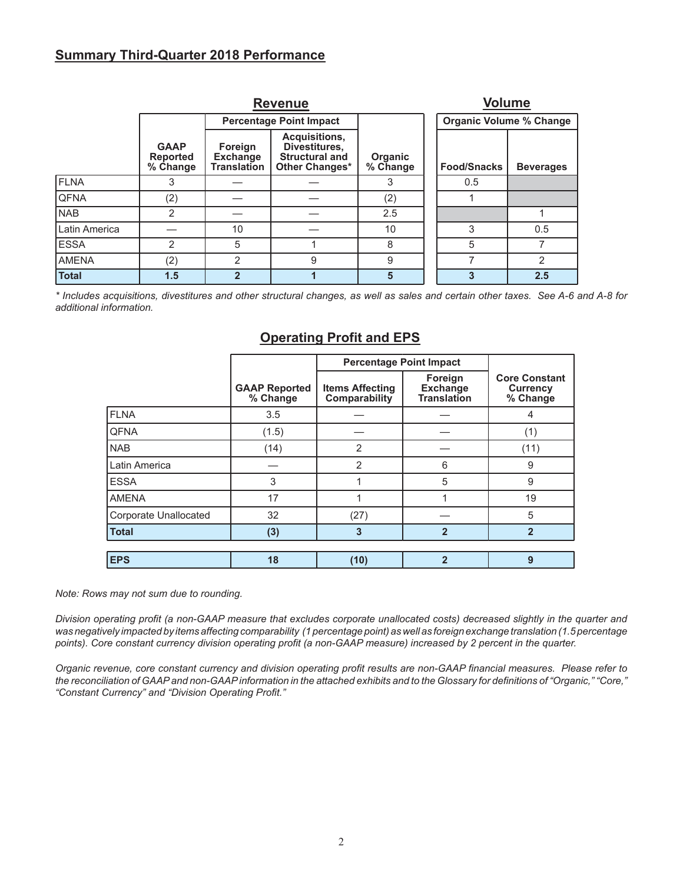### **Summary Third-Quarter 2018 Performance**

|               |                                            |                                                  | <b>Volume</b>                                                             |                     |  |                                |                  |
|---------------|--------------------------------------------|--------------------------------------------------|---------------------------------------------------------------------------|---------------------|--|--------------------------------|------------------|
|               |                                            |                                                  | <b>Percentage Point Impact</b>                                            |                     |  | <b>Organic Volume % Change</b> |                  |
|               | <b>GAAP</b><br><b>Reported</b><br>% Change | Foreign<br><b>Exchange</b><br><b>Translation</b> | Acquisitions,<br>Divestitures,<br><b>Structural and</b><br>Other Changes* | Organic<br>% Change |  | <b>Food/Snacks</b>             | <b>Beverages</b> |
| <b>FLNA</b>   | 3                                          |                                                  |                                                                           | 3                   |  | 0.5                            |                  |
| <b>QFNA</b>   | (2)                                        |                                                  |                                                                           | (2)                 |  |                                |                  |
| <b>NAB</b>    | 2                                          |                                                  |                                                                           | 2.5                 |  |                                |                  |
| Latin America |                                            | 10                                               |                                                                           | 10                  |  | 3                              | 0.5              |
| <b>ESSA</b>   | 2                                          | 5                                                |                                                                           | 8                   |  | 5                              |                  |
| <b>AMENA</b>  | (2)                                        | 2                                                | 9                                                                         | 9                   |  |                                | $\overline{2}$   |
| <b>Total</b>  | 1.5                                        | $\mathbf{2}$                                     |                                                                           | 5                   |  |                                | 2.5              |

*\* Includes acquisitions, divestitures and other structural changes, as well as sales and certain other taxes. See A-6 and A-8 for additional information.* 

### **Operating Profit and EPS**

|                              |                                  | <b>Percentage Point Impact</b>          |                                                  |                                                     |
|------------------------------|----------------------------------|-----------------------------------------|--------------------------------------------------|-----------------------------------------------------|
|                              | <b>GAAP Reported</b><br>% Change | <b>Items Affecting</b><br>Comparability | Foreign<br><b>Exchange</b><br><b>Translation</b> | <b>Core Constant</b><br><b>Currency</b><br>% Change |
| <b>FLNA</b>                  | 3.5                              |                                         |                                                  | 4                                                   |
| <b>QFNA</b>                  | (1.5)                            |                                         |                                                  | (1)                                                 |
| <b>NAB</b>                   | (14)                             | 2                                       |                                                  | (11)                                                |
| Latin America                |                                  | $\overline{2}$                          | 6                                                | 9                                                   |
| <b>ESSA</b>                  | 3                                |                                         | 5                                                | 9                                                   |
| <b>AMENA</b>                 | 17                               |                                         |                                                  | 19                                                  |
| <b>Corporate Unallocated</b> | 32                               | (27)                                    |                                                  | 5                                                   |
| <b>Total</b>                 | (3)                              | 3                                       | $\overline{2}$                                   | $\overline{2}$                                      |
|                              |                                  |                                         |                                                  |                                                     |
| <b>EPS</b>                   | 18                               | (10)                                    | $\overline{2}$                                   | 9                                                   |

#### *Note: Rows may not sum due to rounding.*

*Division operating profit (a non-GAAP measure that excludes corporate unallocated costs) decreased slightly in the quarter and was negatively impacted by items affecting comparability (1 percentage point) as well as foreign exchange translation (1.5 percentage points). Core constant currency division operating profit (a non-GAAP measure) increased by 2 percent in the quarter.*

*Organic revenue, core constant currency and division operating profit results are non-GAAP financial measures. Please refer to the reconciliation of GAAP and non-GAAP information in the attached exhibits and to the Glossary for definitions of "Organic," "Core," "Constant Currency" and "Division Operating Profit."*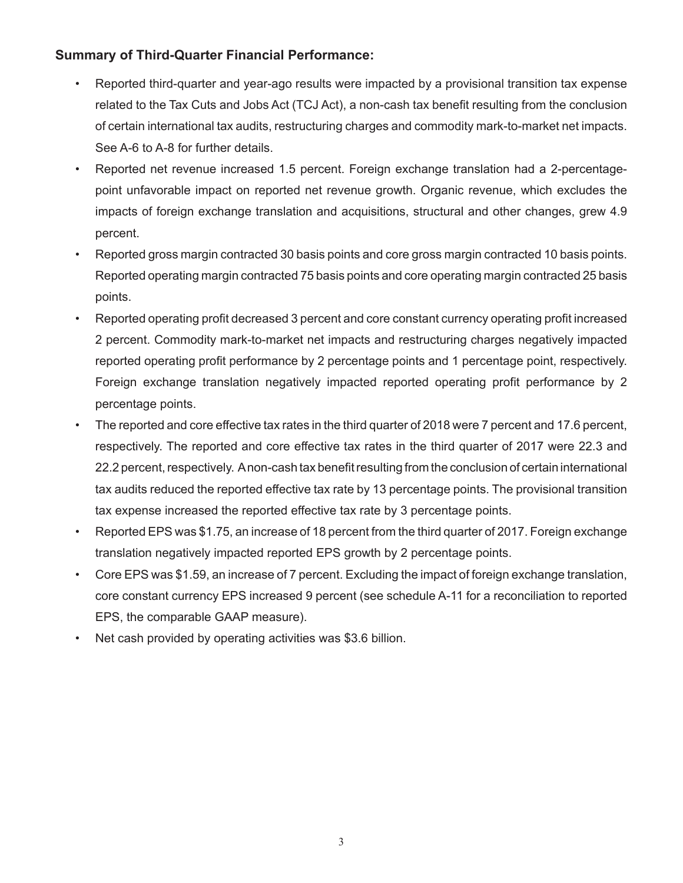# **Summary of Third-Quarter Financial Performance:**

- Reported third-quarter and year-ago results were impacted by a provisional transition tax expense related to the Tax Cuts and Jobs Act (TCJ Act), a non-cash tax benefit resulting from the conclusion of certain international tax audits, restructuring charges and commodity mark-to-market net impacts. See A-6 to A-8 for further details.
- Reported net revenue increased 1.5 percent. Foreign exchange translation had a 2-percentagepoint unfavorable impact on reported net revenue growth. Organic revenue, which excludes the impacts of foreign exchange translation and acquisitions, structural and other changes, grew 4.9 percent.
- Reported gross margin contracted 30 basis points and core gross margin contracted 10 basis points. Reported operating margin contracted 75 basis points and core operating margin contracted 25 basis points.
- Reported operating profit decreased 3 percent and core constant currency operating profit increased 2 percent. Commodity mark-to-market net impacts and restructuring charges negatively impacted reported operating profit performance by 2 percentage points and 1 percentage point, respectively. Foreign exchange translation negatively impacted reported operating profit performance by 2 percentage points.
- The reported and core effective tax rates in the third quarter of 2018 were 7 percent and 17.6 percent, respectively. The reported and core effective tax rates in the third quarter of 2017 were 22.3 and 22.2 percent, respectively. A non-cash tax benefit resulting from the conclusion of certain international tax audits reduced the reported effective tax rate by 13 percentage points. The provisional transition tax expense increased the reported effective tax rate by 3 percentage points.
- Reported EPS was \$1.75, an increase of 18 percent from the third quarter of 2017. Foreign exchange translation negatively impacted reported EPS growth by 2 percentage points.
- Core EPS was \$1.59, an increase of 7 percent. Excluding the impact of foreign exchange translation, core constant currency EPS increased 9 percent (see schedule A-11 for a reconciliation to reported EPS, the comparable GAAP measure).
- Net cash provided by operating activities was \$3.6 billion.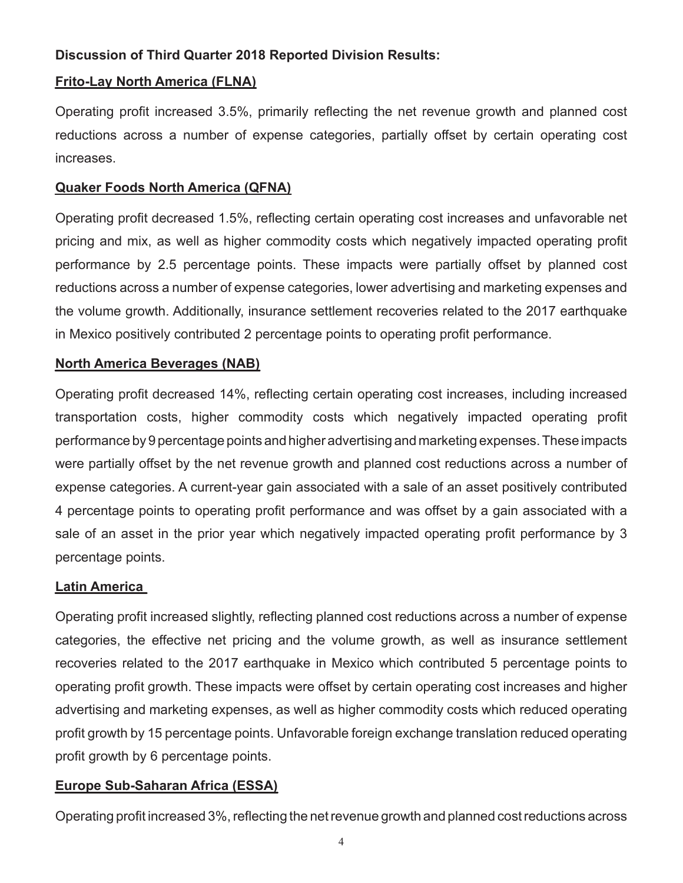# **Discussion of Third Quarter 2018 Reported Division Results:**

# **Frito-Lay North America (FLNA)**

Operating profit increased 3.5%, primarily reflecting the net revenue growth and planned cost reductions across a number of expense categories, partially offset by certain operating cost increases.

# **Quaker Foods North America (QFNA)**

Operating profit decreased 1.5%, reflecting certain operating cost increases and unfavorable net pricing and mix, as well as higher commodity costs which negatively impacted operating profit performance by 2.5 percentage points. These impacts were partially offset by planned cost reductions across a number of expense categories, lower advertising and marketing expenses and the volume growth. Additionally, insurance settlement recoveries related to the 2017 earthquake in Mexico positively contributed 2 percentage points to operating profit performance.

### **North America Beverages (NAB)**

Operating profit decreased 14%, reflecting certain operating cost increases, including increased transportation costs, higher commodity costs which negatively impacted operating profit performance by 9 percentage points and higher advertising and marketing expenses. These impacts were partially offset by the net revenue growth and planned cost reductions across a number of expense categories. A current-year gain associated with a sale of an asset positively contributed 4 percentage points to operating profit performance and was offset by a gain associated with a sale of an asset in the prior year which negatively impacted operating profit performance by 3 percentage points.

### **Latin America**

Operating profit increased slightly, reflecting planned cost reductions across a number of expense categories, the effective net pricing and the volume growth, as well as insurance settlement recoveries related to the 2017 earthquake in Mexico which contributed 5 percentage points to operating profit growth. These impacts were offset by certain operating cost increases and higher advertising and marketing expenses, as well as higher commodity costs which reduced operating profit growth by 15 percentage points. Unfavorable foreign exchange translation reduced operating profit growth by 6 percentage points.

# **Europe Sub-Saharan Africa (ESSA)**

Operating profit increased 3%, reflecting the net revenue growth and planned cost reductions across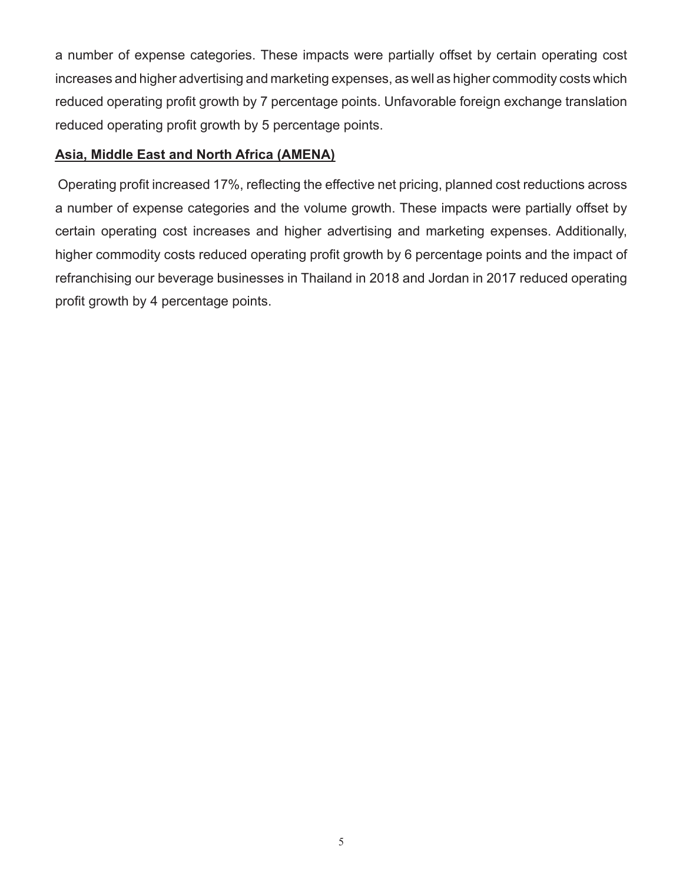a number of expense categories. These impacts were partially offset by certain operating cost increases and higher advertising and marketing expenses, as well as higher commodity costs which reduced operating profit growth by 7 percentage points. Unfavorable foreign exchange translation reduced operating profit growth by 5 percentage points.

### **Asia, Middle East and North Africa (AMENA)**

Operating profit increased 17%, reflecting the effective net pricing, planned cost reductions across a number of expense categories and the volume growth. These impacts were partially offset by certain operating cost increases and higher advertising and marketing expenses. Additionally, higher commodity costs reduced operating profit growth by 6 percentage points and the impact of refranchising our beverage businesses in Thailand in 2018 and Jordan in 2017 reduced operating profit growth by 4 percentage points.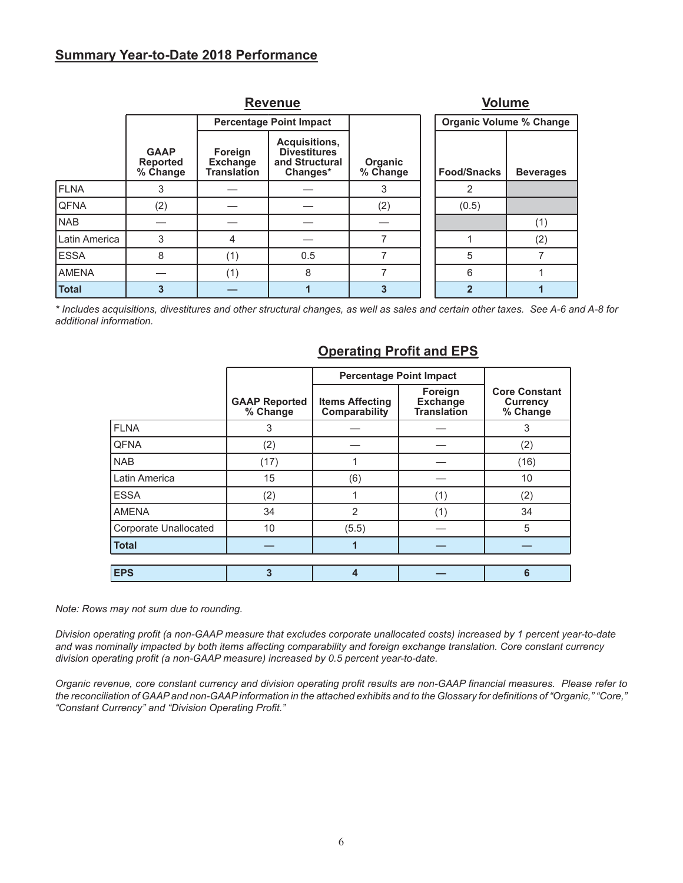### **Summary Year-to-Date 2018 Performance**

|               |                                            | <b>Volume</b>                                    |                                                                    |                     |                                |                  |
|---------------|--------------------------------------------|--------------------------------------------------|--------------------------------------------------------------------|---------------------|--------------------------------|------------------|
|               |                                            |                                                  | <b>Percentage Point Impact</b>                                     |                     | <b>Organic Volume % Change</b> |                  |
|               | <b>GAAP</b><br><b>Reported</b><br>% Change | Foreign<br><b>Exchange</b><br><b>Translation</b> | Acquisitions,<br><b>Divestitures</b><br>and Structural<br>Changes* | Organic<br>% Change | <b>Food/Snacks</b>             | <b>Beverages</b> |
| <b>FLNA</b>   | 3                                          |                                                  |                                                                    | 3                   | $\overline{2}$                 |                  |
| <b>QFNA</b>   | (2)                                        |                                                  |                                                                    | (2)                 | (0.5)                          |                  |
| <b>NAB</b>    |                                            |                                                  |                                                                    |                     |                                | (1)              |
| Latin America | 3                                          | 4                                                |                                                                    | ⇁                   |                                | (2)              |
| <b>ESSA</b>   | 8                                          | (1)                                              | 0.5                                                                | 7                   | 5                              |                  |
| <b>AMENA</b>  |                                            | (1)                                              | 8                                                                  | 7                   | 6                              |                  |
| <b>Total</b>  | 3                                          |                                                  |                                                                    | 3                   |                                |                  |

*\* Includes acquisitions, divestitures and other structural changes, as well as sales and certain other taxes. See A-6 and A-8 for additional information.*

|                       |                                  | <b>Percentage Point Impact</b>          |                                                  |                                                     |
|-----------------------|----------------------------------|-----------------------------------------|--------------------------------------------------|-----------------------------------------------------|
|                       | <b>GAAP Reported</b><br>% Change | <b>Items Affecting</b><br>Comparability | Foreign<br><b>Exchange</b><br><b>Translation</b> | <b>Core Constant</b><br><b>Currency</b><br>% Change |
| <b>FLNA</b>           | 3                                |                                         |                                                  | 3                                                   |
| <b>QFNA</b>           | (2)                              |                                         |                                                  | (2)                                                 |
| <b>NAB</b>            | (17)                             |                                         |                                                  | (16)                                                |
| Latin America         | 15                               | (6)                                     |                                                  | 10                                                  |
| <b>ESSA</b>           | (2)                              |                                         | (1)                                              | (2)                                                 |
| <b>AMENA</b>          | 34                               | $\overline{2}$                          | (1)                                              | 34                                                  |
| Corporate Unallocated | 10                               | (5.5)                                   |                                                  | 5                                                   |
| <b>Total</b>          |                                  |                                         |                                                  |                                                     |
|                       |                                  |                                         |                                                  |                                                     |
| <b>EPS</b>            | 3                                | 4                                       |                                                  | 6                                                   |

# **Operating Profit and EPS**

*Note: Rows may not sum due to rounding.*

*Division operating profit (a non-GAAP measure that excludes corporate unallocated costs) increased by 1 percent year-to-date and was nominally impacted by both items affecting comparability and foreign exchange translation. Core constant currency division operating profit (a non-GAAP measure) increased by 0.5 percent year-to-date.*

*Organic revenue, core constant currency and division operating profit results are non-GAAP financial measures. Please refer to the reconciliation of GAAP and non-GAAP information in the attached exhibits and to the Glossary for definitions of "Organic," "Core," "Constant Currency" and "Division Operating Profit."*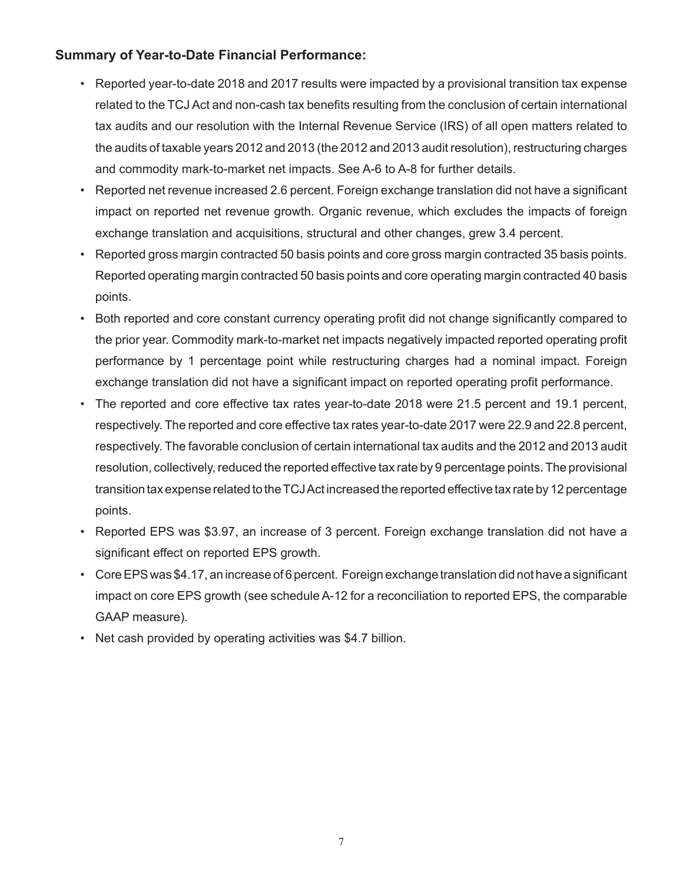# **Summary of Year-to-Date Financial Performance:**

- Reported year-to-date 2018 and 2017 results were impacted by a provisional transition tax expense related to the TCJ Act and non-cash tax benefits resulting from the conclusion of certain international tax audits and our resolution with the Internal Revenue Service (IRS) of all open matters related to the audits of taxable years 2012 and 2013 (the 2012 and 2013 audit resolution), restructuring charges and commodity mark-to-market net impacts. See A-6 to A-8 for further details.
- Reported net revenue increased 2.6 percent. Foreign exchange translation did not have a significant impact on reported net revenue growth. Organic revenue, which excludes the impacts of foreign exchange translation and acquisitions, structural and other changes, grew 3.4 percent.
- Reported gross margin contracted 50 basis points and core gross margin contracted 35 basis points. Reported operating margin contracted 50 basis points and core operating margin contracted 40 basis points.
- Both reported and core constant currency operating profit did not change significantly compared to the prior year. Commodity mark-to-market net impacts negatively impacted reported operating profit performance by 1 percentage point while restructuring charges had a nominal impact. Foreign exchange translation did not have a significant impact on reported operating profit performance.
- The reported and core effective tax rates year-to-date 2018 were 21.5 percent and 19.1 percent, respectively. The reported and core effective tax rates year-to-date 2017 were 22.9 and 22.8 percent, respectively. The favorable conclusion of certain international tax audits and the 2012 and 2013 audit resolution, collectively, reduced the reported effective tax rate by 9 percentage points. The provisional transition tax expense related to the TCJ Act increased the reported effective tax rate by 12 percentage points.
- Reported EPS was \$3.97, an increase of 3 percent. Foreign exchange translation did not have a significant effect on reported EPS growth.
- Core EPS was \$4.17, an increase of 6 percent. Foreign exchange translation did not have a significant impact on core EPS growth (see schedule A-12 for a reconciliation to reported EPS, the comparable GAAP measure).
- Net cash provided by operating activities was \$4.7 billion.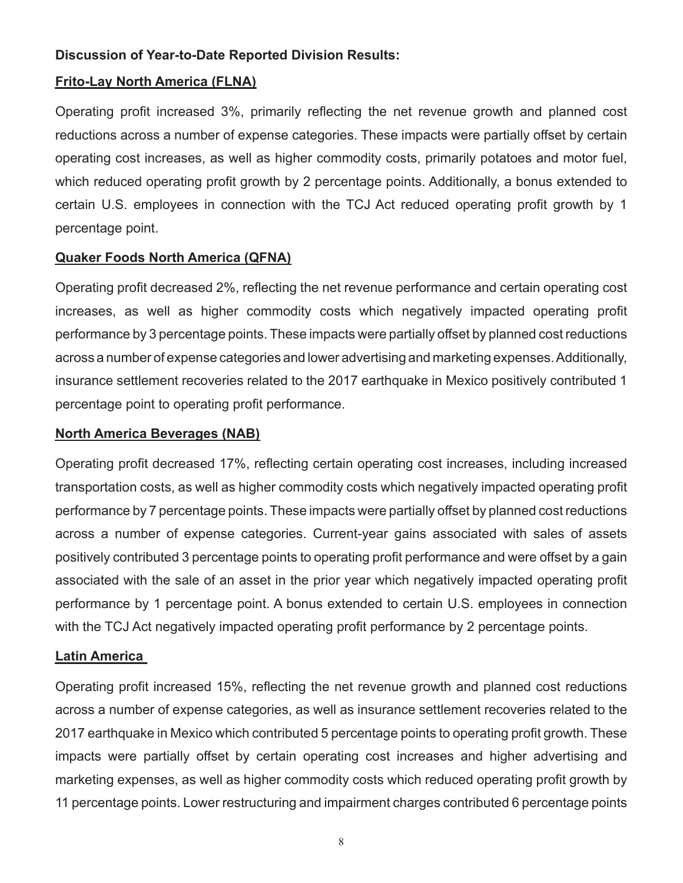# **Discussion of Year-to-Date Reported Division Results:**

# **Frito-Lay North America (FLNA)**

Operating profit increased 3%, primarily reflecting the net revenue growth and planned cost reductions across a number of expense categories. These impacts were partially offset by certain operating cost increases, as well as higher commodity costs, primarily potatoes and motor fuel, which reduced operating profit growth by 2 percentage points. Additionally, a bonus extended to certain U.S. employees in connection with the TCJ Act reduced operating profit growth by 1 percentage point.

# **Quaker Foods North America (QFNA)**

Operating profit decreased 2%, reflecting the net revenue performance and certain operating cost increases, as well as higher commodity costs which negatively impacted operating profit performance by 3 percentage points. These impacts were partially offset by planned cost reductions across a number of expense categories and lower advertising and marketing expenses. Additionally, insurance settlement recoveries related to the 2017 earthquake in Mexico positively contributed 1 percentage point to operating profit performance.

### **North America Beverages (NAB)**

Operating profit decreased 17%, reflecting certain operating cost increases, including increased transportation costs, as well as higher commodity costs which negatively impacted operating profit performance by 7 percentage points. These impacts were partially offset by planned cost reductions across a number of expense categories. Current-year gains associated with sales of assets positively contributed 3 percentage points to operating profit performance and were offset by a gain associated with the sale of an asset in the prior year which negatively impacted operating profit performance by 1 percentage point. A bonus extended to certain U.S. employees in connection with the TCJ Act negatively impacted operating profit performance by 2 percentage points.

# **Latin America**

Operating profit increased 15%, reflecting the net revenue growth and planned cost reductions across a number of expense categories, as well as insurance settlement recoveries related to the 2017 earthquake in Mexico which contributed 5 percentage points to operating profit growth. These impacts were partially offset by certain operating cost increases and higher advertising and marketing expenses, as well as higher commodity costs which reduced operating profit growth by 11 percentage points. Lower restructuring and impairment charges contributed 6 percentage points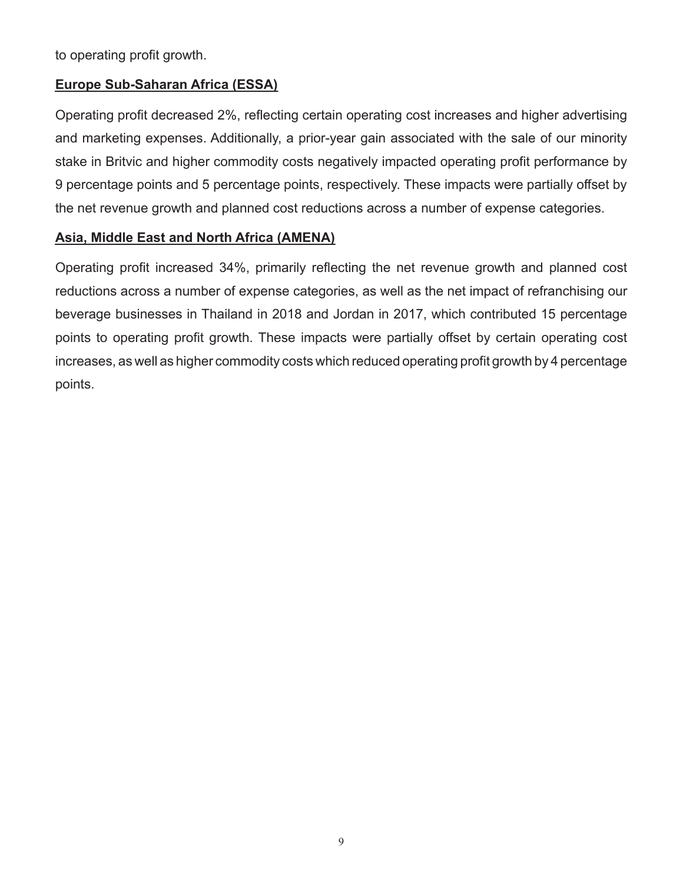to operating profit growth.

# **Europe Sub-Saharan Africa (ESSA)**

Operating profit decreased 2%, reflecting certain operating cost increases and higher advertising and marketing expenses. Additionally, a prior-year gain associated with the sale of our minority stake in Britvic and higher commodity costs negatively impacted operating profit performance by 9 percentage points and 5 percentage points, respectively. These impacts were partially offset by the net revenue growth and planned cost reductions across a number of expense categories.

# **Asia, Middle East and North Africa (AMENA)**

Operating profit increased 34%, primarily reflecting the net revenue growth and planned cost reductions across a number of expense categories, as well as the net impact of refranchising our beverage businesses in Thailand in 2018 and Jordan in 2017, which contributed 15 percentage points to operating profit growth. These impacts were partially offset by certain operating cost increases, as well as higher commodity costs which reduced operating profit growth by 4 percentage points.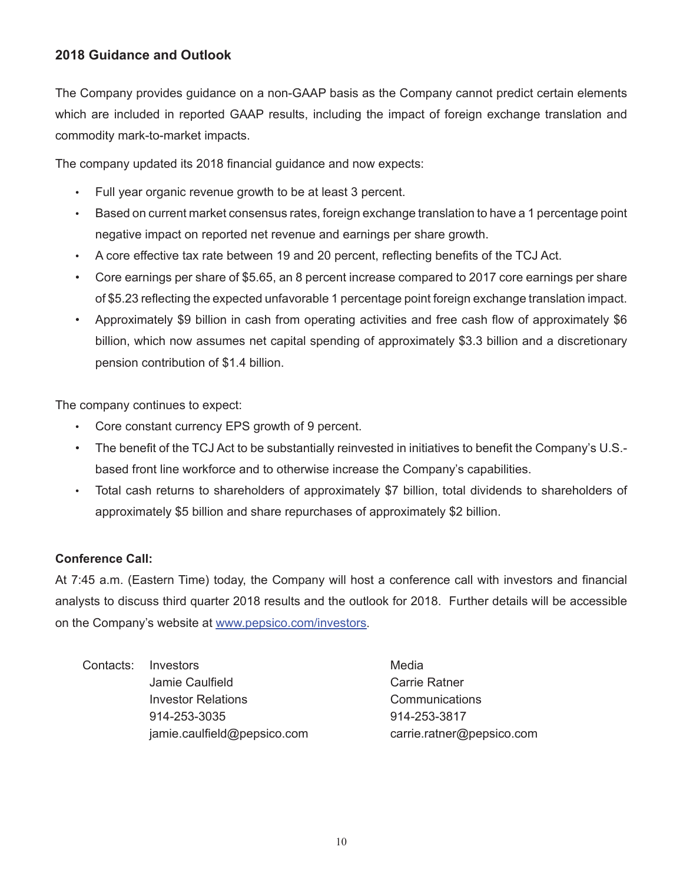# **2018 Guidance and Outlook**

The Company provides guidance on a non-GAAP basis as the Company cannot predict certain elements which are included in reported GAAP results, including the impact of foreign exchange translation and commodity mark-to-market impacts.

The company updated its 2018 financial guidance and now expects:

- Full year organic revenue growth to be at least 3 percent.
- Based on current market consensus rates, foreign exchange translation to have a 1 percentage point negative impact on reported net revenue and earnings per share growth.
- A core effective tax rate between 19 and 20 percent, reflecting benefits of the TCJ Act.
- Core earnings per share of \$5.65, an 8 percent increase compared to 2017 core earnings per share of \$5.23 reflecting the expected unfavorable 1 percentage point foreign exchange translation impact.
- Approximately \$9 billion in cash from operating activities and free cash flow of approximately \$6 billion, which now assumes net capital spending of approximately \$3.3 billion and a discretionary pension contribution of \$1.4 billion.

The company continues to expect:

- Core constant currency EPS growth of 9 percent.
- The benefit of the TCJ Act to be substantially reinvested in initiatives to benefit the Company's U.S. based front line workforce and to otherwise increase the Company's capabilities.
- Total cash returns to shareholders of approximately \$7 billion, total dividends to shareholders of approximately \$5 billion and share repurchases of approximately \$2 billion.

# **Conference Call:**

At 7:45 a.m. (Eastern Time) today, the Company will host a conference call with investors and financial analysts to discuss third quarter 2018 results and the outlook for 2018. Further details will be accessible on the Company's website at www.pepsico.com/investors.

Contacts: Investors **Media** Jamie Caulfield **Carrie Ratner** Carrie Ratner Investor Relations Communications 914-253-3035 914-253-3817 jamie.caulfield@pepsico.com carrie.ratner@pepsico.com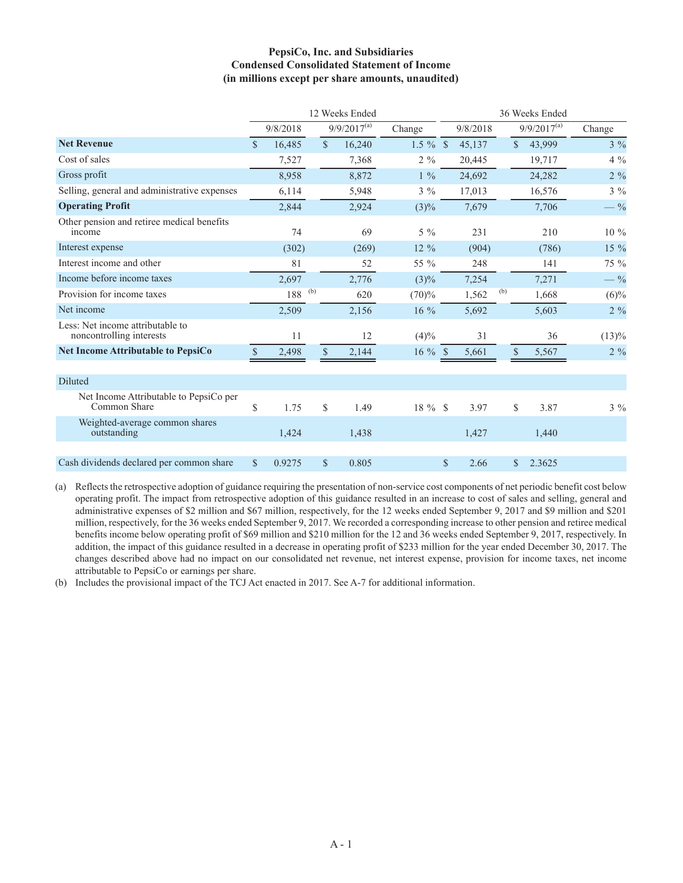### **PepsiCo, Inc. and Subsidiaries Condensed Consolidated Statement of Income (in millions except per share amounts, unaudited)**

|                                                              | 12 Weeks Ended |          |     |                        |             |            |     | 36 Weeks Ended |                  |                 |
|--------------------------------------------------------------|----------------|----------|-----|------------------------|-------------|------------|-----|----------------|------------------|-----------------|
|                                                              |                | 9/8/2018 |     | $9/9/2017^{(a)}$       | Change      | 9/8/2018   |     |                | $9/9/2017^{(a)}$ | Change          |
| <b>Net Revenue</b>                                           | $\mathcal{S}$  | 16,485   |     | $\mathbb{S}$<br>16,240 | $1.5 \%$ \$ | 45,137     |     | $\mathbf S$    | 43,999           | $3\%$           |
| Cost of sales                                                |                | 7,527    |     | 7,368                  | $2\%$       | 20,445     |     |                | 19,717           | $4\%$           |
| Gross profit                                                 |                | 8,958    |     | 8,872                  | $1\%$       | 24,692     |     |                | 24,282           | $2 \frac{9}{6}$ |
| Selling, general and administrative expenses                 |                | 6,114    |     | 5,948                  | $3\%$       | 17,013     |     |                | 16,576           | $3\%$           |
| <b>Operating Profit</b>                                      |                | 2,844    |     | 2,924                  | $(3)\%$     | 7,679      |     |                | 7,706            | $-$ %           |
| Other pension and retiree medical benefits<br>income         |                | 74       |     | 69                     | $5\%$       | 231        |     |                | 210              | $10\ \%$        |
| Interest expense                                             |                | (302)    |     | (269)                  | $12\%$      | (904)      |     |                | (786)            | $15\%$          |
| Interest income and other                                    |                | 81       |     | 52                     | 55 %        | 248        |     |                | 141              | 75 %            |
| Income before income taxes                                   |                | 2,697    |     | 2,776                  | $(3)\%$     | 7,254      |     |                | 7,271            | $-$ %           |
| Provision for income taxes                                   |                | 188      | (b) | 620                    | (70)%       | 1,562      | (b) |                | 1,668            | $(6)\%$         |
| Net income                                                   |                | 2,509    |     | 2,156                  | 16 %        | 5,692      |     |                | 5,603            | $2 \ \%$        |
| Less: Net income attributable to<br>noncontrolling interests |                | 11       |     | 12                     | (4)%        | 31         |     |                | 36               | (13)%           |
| <b>Net Income Attributable to PepsiCo</b>                    | \$             | 2,498    |     | $\mathbf S$<br>2,144   | $16 \%$ \$  | 5,661      |     | $\$$           | 5,567            | $2 \frac{9}{6}$ |
|                                                              |                |          |     |                        |             |            |     |                |                  |                 |
| Diluted                                                      |                |          |     |                        |             |            |     |                |                  |                 |
| Net Income Attributable to PepsiCo per<br>Common Share       | \$             | 1.75     |     | \$<br>1.49             | $18 \%$ \$  | 3.97       |     | \$             | 3.87             | $3 \ \%$        |
| Weighted-average common shares<br>outstanding                |                | 1,424    |     | 1,438                  |             | 1,427      |     |                | 1,440            |                 |
|                                                              |                |          |     |                        |             |            |     |                |                  |                 |
| Cash dividends declared per common share                     | $\mathbf S$    | 0.9275   |     | 0.805<br>\$            |             | \$<br>2.66 |     | S.             | 2.3625           |                 |

(a) Reflects the retrospective adoption of guidance requiring the presentation of non-service cost components of net periodic benefit cost below operating profit. The impact from retrospective adoption of this guidance resulted in an increase to cost of sales and selling, general and administrative expenses of \$2 million and \$67 million, respectively, for the 12 weeks ended September 9, 2017 and \$9 million and \$201 million, respectively, for the 36 weeks ended September 9, 2017. We recorded a corresponding increase to other pension and retiree medical benefits income below operating profit of \$69 million and \$210 million for the 12 and 36 weeks ended September 9, 2017, respectively. In addition, the impact of this guidance resulted in a decrease in operating profit of \$233 million for the year ended December 30, 2017. The changes described above had no impact on our consolidated net revenue, net interest expense, provision for income taxes, net income attributable to PepsiCo or earnings per share.

(b) Includes the provisional impact of the TCJ Act enacted in 2017. See A-7 for additional information.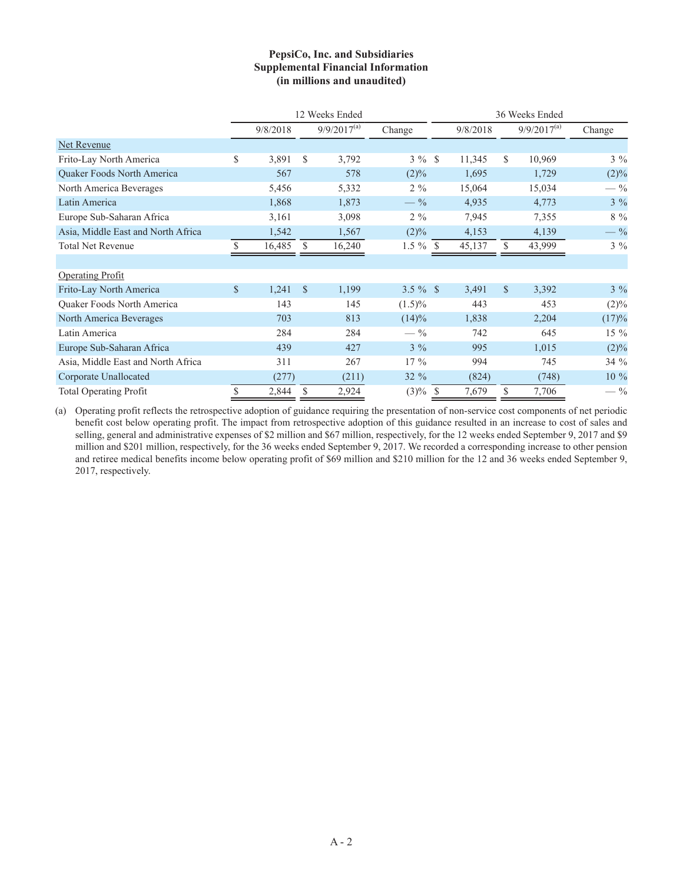#### **PepsiCo, Inc. and Subsidiaries Supplemental Financial Information (in millions and unaudited)**

|                                    |               |          |               | 12 Weeks Ended   | 36 Weeks Ended  |  |          |              |                  |                 |  |  |
|------------------------------------|---------------|----------|---------------|------------------|-----------------|--|----------|--------------|------------------|-----------------|--|--|
|                                    |               | 9/8/2018 |               | $9/9/2017^{(a)}$ | Change          |  | 9/8/2018 |              | $9/9/2017^{(a)}$ | Change          |  |  |
| Net Revenue                        |               |          |               |                  |                 |  |          |              |                  |                 |  |  |
| Frito-Lay North America            | \$            | 3,891    | <sup>\$</sup> | 3,792            | $3\%$ \$        |  | 11,345   | \$.          | 10,969           | $3\%$           |  |  |
| Quaker Foods North America         |               | 567      |               | 578              | $(2)\%$         |  | 1,695    |              | 1,729            | (2)%            |  |  |
| North America Beverages            |               | 5,456    |               | 5,332            | $2\%$           |  | 15,064   |              | 15,034           | $-$ %           |  |  |
| Latin America                      |               | 1,868    |               | 1,873            | $-$ %           |  | 4,935    |              | 4,773            | $3\%$           |  |  |
| Europe Sub-Saharan Africa          |               | 3,161    |               | 3,098            | $2\%$           |  | 7,945    |              | 7,355            | $8\%$           |  |  |
| Asia, Middle East and North Africa |               | 1,542    |               | 1,567            | $(2)\%$         |  | 4,153    |              | 4,139            | $-$ %           |  |  |
| <b>Total Net Revenue</b>           | S.            | 16,485   | <sup>\$</sup> | 16,240           | $1.5 \%$ \$     |  | 45,137   | S.           | 43,999           | $3\%$           |  |  |
|                                    |               |          |               |                  |                 |  |          |              |                  |                 |  |  |
| <b>Operating Profit</b>            |               |          |               |                  |                 |  |          |              |                  |                 |  |  |
| Frito-Lay North America            | $\mathcal{S}$ | 1,241    | <sup>\$</sup> | 1,199            | $3.5 \%$ \$     |  | 3,491    | $\mathbb{S}$ | 3,392            | $3\%$           |  |  |
| Quaker Foods North America         |               | 143      |               | 145              | $(1.5)\%$       |  | 443      |              | 453              | $(2)\%$         |  |  |
| North America Beverages            |               | 703      |               | 813              | (14)%           |  | 1,838    |              | 2,204            | (17)%           |  |  |
| Latin America                      |               | 284      |               | 284              | $- \frac{9}{6}$ |  | 742      |              | 645              | 15 %            |  |  |
| Europe Sub-Saharan Africa          |               | 439      |               | 427              | $3\%$           |  | 995      |              | 1,015            | $(2)\%$         |  |  |
| Asia, Middle East and North Africa |               | 311      |               | 267              | $17\%$          |  | 994      |              | 745              | 34 %            |  |  |
| Corporate Unallocated              |               | (277)    |               | (211)            | $32 \%$         |  | (824)    |              | (748)            | 10 %            |  |  |
| <b>Total Operating Profit</b>      | \$            | 2,844    | S             | 2,924            | $(3)\%$ \$      |  | 7,679    | S.           | 7,706            | $- \frac{9}{6}$ |  |  |

(a) Operating profit reflects the retrospective adoption of guidance requiring the presentation of non-service cost components of net periodic benefit cost below operating profit. The impact from retrospective adoption of this guidance resulted in an increase to cost of sales and selling, general and administrative expenses of \$2 million and \$67 million, respectively, for the 12 weeks ended September 9, 2017 and \$9 million and \$201 million, respectively, for the 36 weeks ended September 9, 2017. We recorded a corresponding increase to other pension and retiree medical benefits income below operating profit of \$69 million and \$210 million for the 12 and 36 weeks ended September 9, 2017, respectively.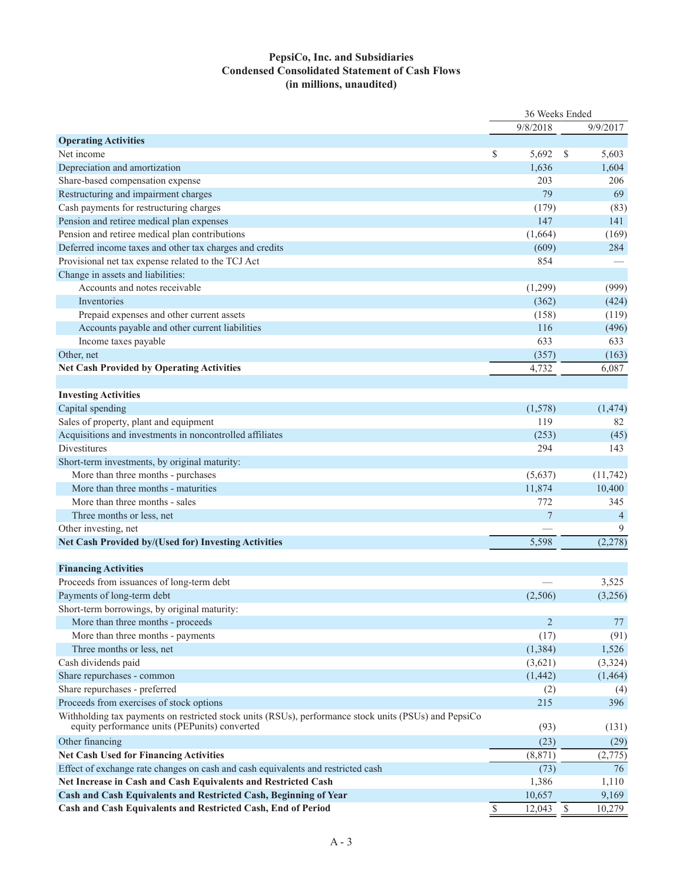### **PepsiCo, Inc. and Subsidiaries Condensed Consolidated Statement of Cash Flows (in millions, unaudited)**

|                                                                                                                                                        | 36 Weeks Ended |               |                |  |
|--------------------------------------------------------------------------------------------------------------------------------------------------------|----------------|---------------|----------------|--|
|                                                                                                                                                        | 9/8/2018       |               | 9/9/2017       |  |
| <b>Operating Activities</b>                                                                                                                            |                |               |                |  |
| Net income                                                                                                                                             | \$<br>5,692    | <sup>\$</sup> | 5,603          |  |
| Depreciation and amortization                                                                                                                          | 1,636          |               | 1,604          |  |
| Share-based compensation expense                                                                                                                       | 203            |               | 206            |  |
| Restructuring and impairment charges                                                                                                                   | 79             |               | 69             |  |
| Cash payments for restructuring charges                                                                                                                | (179)          |               | (83)           |  |
| Pension and retiree medical plan expenses                                                                                                              | 147            |               | 141            |  |
| Pension and retiree medical plan contributions                                                                                                         | (1,664)        |               | (169)          |  |
| Deferred income taxes and other tax charges and credits                                                                                                | (609)          |               | 284            |  |
| Provisional net tax expense related to the TCJ Act                                                                                                     | 854            |               |                |  |
| Change in assets and liabilities:                                                                                                                      |                |               |                |  |
| Accounts and notes receivable                                                                                                                          | (1,299)        |               | (999)          |  |
| Inventories                                                                                                                                            | (362)          |               | (424)          |  |
| Prepaid expenses and other current assets                                                                                                              | (158)          |               | (119)          |  |
| Accounts payable and other current liabilities                                                                                                         | 116            |               | (496)          |  |
| Income taxes payable                                                                                                                                   | 633            |               | 633            |  |
| Other, net                                                                                                                                             | (357)          |               | (163)          |  |
| <b>Net Cash Provided by Operating Activities</b>                                                                                                       | 4,732          |               | 6,087          |  |
|                                                                                                                                                        |                |               |                |  |
| <b>Investing Activities</b>                                                                                                                            |                |               |                |  |
| Capital spending                                                                                                                                       | (1,578)        |               | (1, 474)       |  |
| Sales of property, plant and equipment                                                                                                                 | 119            |               | 82             |  |
| Acquisitions and investments in noncontrolled affiliates                                                                                               | (253)          |               | (45)           |  |
| Divestitures                                                                                                                                           | 294            |               | 143            |  |
| Short-term investments, by original maturity:                                                                                                          |                |               |                |  |
| More than three months - purchases                                                                                                                     | (5,637)        |               | (11, 742)      |  |
| More than three months - maturities                                                                                                                    | 11,874         |               | 10,400         |  |
| More than three months - sales                                                                                                                         | 772            |               | 345            |  |
|                                                                                                                                                        | $\overline{7}$ |               |                |  |
| Three months or less, net                                                                                                                              |                |               | $\overline{4}$ |  |
| Other investing, net                                                                                                                                   |                |               | 9              |  |
| Net Cash Provided by/(Used for) Investing Activities                                                                                                   | 5,598          |               | (2, 278)       |  |
|                                                                                                                                                        |                |               |                |  |
| <b>Financing Activities</b>                                                                                                                            |                |               |                |  |
| Proceeds from issuances of long-term debt                                                                                                              |                |               | 3,525          |  |
| Payments of long-term debt                                                                                                                             | (2,506)        |               | (3,256)        |  |
| Short-term borrowings, by original maturity:                                                                                                           |                |               |                |  |
| More than three months - proceeds                                                                                                                      | $\overline{2}$ |               | 77             |  |
| More than three months - payments                                                                                                                      | (17)           |               | (91)           |  |
| Three months or less, net                                                                                                                              | (1, 384)       |               | 1,526          |  |
| Cash dividends paid                                                                                                                                    | (3,621)        |               | (3,324)        |  |
| Share repurchases - common                                                                                                                             | (1, 442)       |               | (1,464)        |  |
| Share repurchases - preferred                                                                                                                          | (2)            |               | (4)            |  |
| Proceeds from exercises of stock options                                                                                                               | 215            |               | 396            |  |
| Withholding tax payments on restricted stock units (RSUs), performance stock units (PSUs) and PepsiCo<br>equity performance units (PEPunits) converted | (93)           |               | (131)          |  |
| Other financing                                                                                                                                        | (23)           |               | (29)           |  |
| <b>Net Cash Used for Financing Activities</b>                                                                                                          | (8, 871)       |               | (2,775)        |  |
| Effect of exchange rate changes on cash and cash equivalents and restricted cash                                                                       | (73)           |               | 76             |  |
| Net Increase in Cash and Cash Equivalents and Restricted Cash                                                                                          | 1,386          |               | 1,110          |  |
| Cash and Cash Equivalents and Restricted Cash, Beginning of Year                                                                                       | 10,657         |               | 9,169          |  |
| Cash and Cash Equivalents and Restricted Cash, End of Period                                                                                           | \$<br>12,043   | \$            | 10,279         |  |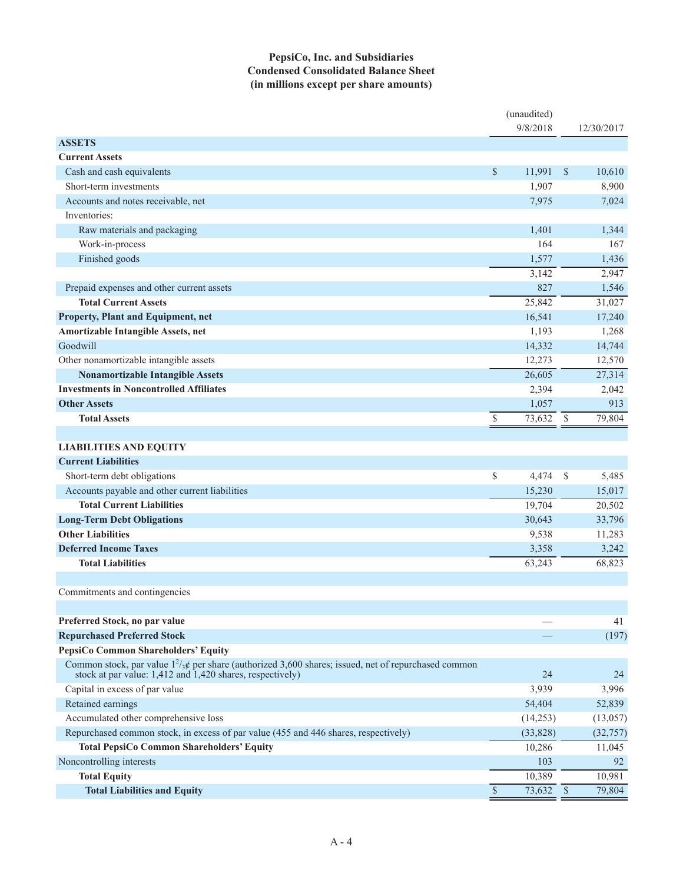### **PepsiCo, Inc. and Subsidiaries Condensed Consolidated Balance Sheet (in millions except per share amounts)**

|                                                                                                                                                                             |                 | (unaudited)<br>9/8/2018 |               | 12/30/2017 |
|-----------------------------------------------------------------------------------------------------------------------------------------------------------------------------|-----------------|-------------------------|---------------|------------|
| <b>ASSETS</b>                                                                                                                                                               |                 |                         |               |            |
| <b>Current Assets</b>                                                                                                                                                       |                 |                         |               |            |
| Cash and cash equivalents                                                                                                                                                   | \$              | 11,991                  | $\mathcal{S}$ | 10,610     |
| Short-term investments                                                                                                                                                      |                 | 1,907                   |               | 8,900      |
| Accounts and notes receivable, net                                                                                                                                          |                 | 7,975                   |               | 7,024      |
| Inventories:                                                                                                                                                                |                 |                         |               |            |
| Raw materials and packaging                                                                                                                                                 |                 | 1,401                   |               | 1,344      |
| Work-in-process                                                                                                                                                             |                 | 164                     |               | 167        |
| Finished goods                                                                                                                                                              |                 | 1,577                   |               | 1,436      |
|                                                                                                                                                                             |                 | 3,142                   |               | 2,947      |
| Prepaid expenses and other current assets                                                                                                                                   |                 | 827                     |               | 1,546      |
| <b>Total Current Assets</b>                                                                                                                                                 |                 | 25,842                  |               | 31,027     |
| Property, Plant and Equipment, net                                                                                                                                          |                 | 16,541                  |               | 17,240     |
| Amortizable Intangible Assets, net                                                                                                                                          |                 | 1,193                   |               | 1,268      |
| Goodwill                                                                                                                                                                    |                 | 14,332                  |               | 14,744     |
| Other nonamortizable intangible assets                                                                                                                                      |                 | 12,273                  |               | 12,570     |
| <b>Nonamortizable Intangible Assets</b>                                                                                                                                     |                 | 26,605                  |               | 27,314     |
| <b>Investments in Noncontrolled Affiliates</b>                                                                                                                              |                 | 2,394                   |               | 2,042      |
| <b>Other Assets</b>                                                                                                                                                         |                 | 1,057                   |               | 913        |
| <b>Total Assets</b>                                                                                                                                                         | $\mathbb{S}$    | 73,632                  | - \$          | 79,804     |
|                                                                                                                                                                             |                 |                         |               |            |
| <b>LIABILITIES AND EQUITY</b>                                                                                                                                               |                 |                         |               |            |
| <b>Current Liabilities</b>                                                                                                                                                  |                 |                         |               |            |
| Short-term debt obligations                                                                                                                                                 | \$              | 4,474                   | -S            | 5,485      |
| Accounts payable and other current liabilities                                                                                                                              |                 | 15,230                  |               | 15,017     |
| <b>Total Current Liabilities</b>                                                                                                                                            |                 | 19,704                  |               | 20,502     |
| <b>Long-Term Debt Obligations</b>                                                                                                                                           |                 | 30,643                  |               | 33,796     |
| <b>Other Liabilities</b>                                                                                                                                                    |                 | 9,538                   |               | 11,283     |
| <b>Deferred Income Taxes</b>                                                                                                                                                |                 | 3,358                   |               | 3,242      |
| <b>Total Liabilities</b>                                                                                                                                                    |                 | 63,243                  |               | 68,823     |
|                                                                                                                                                                             |                 |                         |               |            |
| Commitments and contingencies                                                                                                                                               |                 |                         |               |            |
|                                                                                                                                                                             |                 |                         |               |            |
| Preferred Stock, no par value                                                                                                                                               |                 |                         |               | 41         |
| <b>Repurchased Preferred Stock</b>                                                                                                                                          |                 |                         |               | (197)      |
| PepsiCo Common Shareholders' Equity                                                                                                                                         |                 |                         |               |            |
| Common stock, par value $1^2/\cancel{s}$ per share (authorized 3,600 shares; issued, net of repurchased common<br>stock at par value: 1,412 and 1,420 shares, respectively) |                 | 24                      |               | 24         |
| Capital in excess of par value                                                                                                                                              |                 | 3,939                   |               | 3,996      |
| Retained earnings                                                                                                                                                           |                 | 54,404                  |               | 52,839     |
| Accumulated other comprehensive loss                                                                                                                                        |                 | (14,253)                |               | (13, 057)  |
| Repurchased common stock, in excess of par value (455 and 446 shares, respectively)                                                                                         |                 | (33, 828)               |               | (32, 757)  |
| <b>Total PepsiCo Common Shareholders' Equity</b>                                                                                                                            |                 | 10,286                  |               | 11,045     |
| Noncontrolling interests                                                                                                                                                    |                 | 103                     |               | 92         |
| <b>Total Equity</b>                                                                                                                                                         |                 | 10,389                  |               | 10,981     |
| <b>Total Liabilities and Equity</b>                                                                                                                                         | $\overline{\$}$ | $\overline{73,632}$ \$  |               | 79,804     |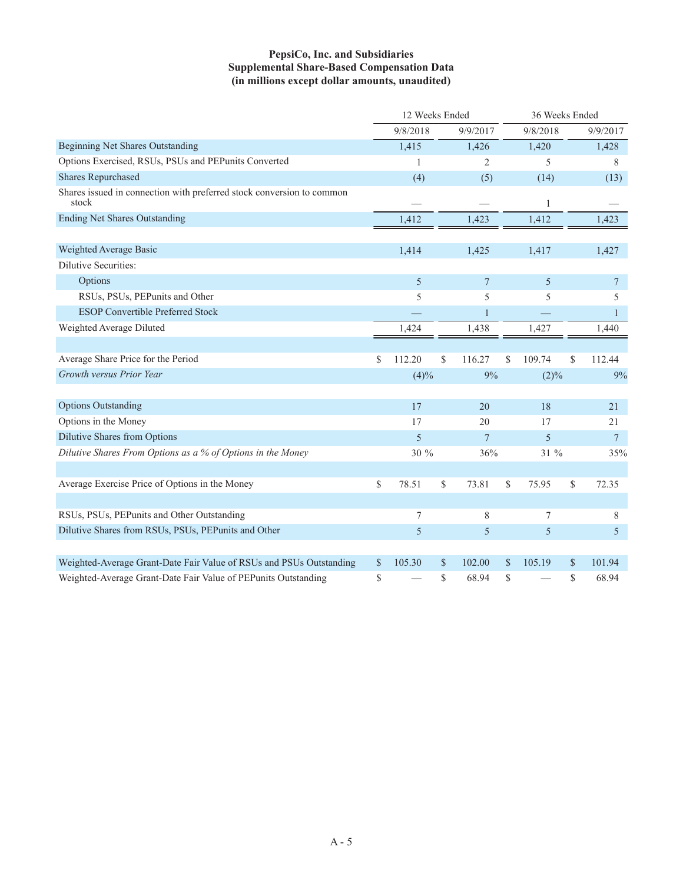### **PepsiCo, Inc. and Subsidiaries Supplemental Share-Based Compensation Data (in millions except dollar amounts, unaudited)**

|                                                                                | 12 Weeks Ended |              |    |                |              | 36 Weeks Ended |          |
|--------------------------------------------------------------------------------|----------------|--------------|----|----------------|--------------|----------------|----------|
|                                                                                |                | 9/8/2018     |    | 9/9/2017       | 9/8/2018     |                | 9/9/2017 |
| <b>Beginning Net Shares Outstanding</b>                                        |                | 1,415        |    | 1,426          | 1,420        |                | 1,428    |
| Options Exercised, RSUs, PSUs and PEPunits Converted                           |                | $\mathbf{1}$ |    | $\overline{c}$ | 5            |                | 8        |
| <b>Shares Repurchased</b>                                                      |                | (4)          |    | (5)            | (14)         |                | (13)     |
| Shares issued in connection with preferred stock conversion to common<br>stock |                |              |    |                | 1            |                |          |
| <b>Ending Net Shares Outstanding</b>                                           |                | 1,412        |    | 1,423          | 1,412        |                | 1,423    |
|                                                                                |                |              |    |                |              |                |          |
| Weighted Average Basic                                                         |                | 1,414        |    | 1,425          | 1,417        |                | 1,427    |
| Dilutive Securities:                                                           |                |              |    |                |              |                |          |
| Options                                                                        |                | 5            |    | $\overline{7}$ | 5            |                | 7        |
| RSUs, PSUs, PEPunits and Other                                                 |                | 5            |    | 5              | 5            |                | 5        |
| <b>ESOP Convertible Preferred Stock</b>                                        |                |              |    | 1              |              |                | 1        |
| Weighted Average Diluted                                                       |                | 1,424        |    | 1,438          | 1,427        |                | 1,440    |
|                                                                                |                |              |    |                |              |                |          |
| Average Share Price for the Period                                             | \$             | 112.20       | \$ | 116.27         | \$<br>109.74 | \$             | 112.44   |
| Growth versus Prior Year                                                       |                | (4)%         |    | 9%             | (2)%         |                | 9%       |
|                                                                                |                |              |    |                |              |                |          |
| <b>Options Outstanding</b>                                                     |                | 17           |    | 20             | 18           |                | 21       |
| Options in the Money                                                           |                | 17           |    | 20             | 17           |                | 21       |
| <b>Dilutive Shares from Options</b>                                            |                | 5            |    | $\overline{7}$ | $\sqrt{5}$   |                | $\tau$   |
| Dilutive Shares From Options as a % of Options in the Money                    |                | 30 %         |    | 36%            | 31 %         |                | 35%      |
|                                                                                |                |              |    |                |              |                |          |
| Average Exercise Price of Options in the Money                                 | \$             | 78.51        | \$ | 73.81          | \$<br>75.95  | \$             | 72.35    |
|                                                                                |                |              |    |                |              |                |          |
| RSUs, PSUs, PEPunits and Other Outstanding                                     |                | 7            |    | 8              | 7            |                | 8        |
| Dilutive Shares from RSUs, PSUs, PEPunits and Other                            |                | 5            |    | 5              | 5            |                | 5        |
|                                                                                |                |              |    |                |              |                |          |
| Weighted-Average Grant-Date Fair Value of RSUs and PSUs Outstanding            | \$             | 105.30       | \$ | 102.00         | \$<br>105.19 | \$             | 101.94   |
| Weighted-Average Grant-Date Fair Value of PEPunits Outstanding                 | \$             |              | \$ | 68.94          | \$           | S              | 68.94    |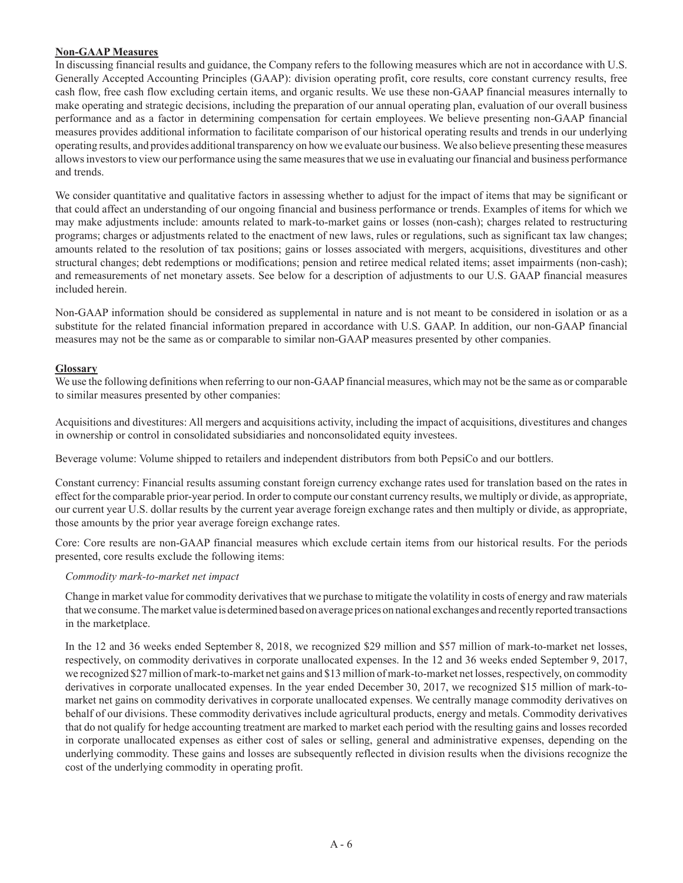#### **Non-GAAP Measures**

In discussing financial results and guidance, the Company refers to the following measures which are not in accordance with U.S. Generally Accepted Accounting Principles (GAAP): division operating profit, core results, core constant currency results, free cash flow, free cash flow excluding certain items, and organic results. We use these non-GAAP financial measures internally to make operating and strategic decisions, including the preparation of our annual operating plan, evaluation of our overall business performance and as a factor in determining compensation for certain employees. We believe presenting non-GAAP financial measures provides additional information to facilitate comparison of our historical operating results and trends in our underlying operating results, and provides additional transparency on how we evaluate our business. We also believe presenting these measures allows investors to view our performance using the same measures that we use in evaluating our financial and business performance and trends.

We consider quantitative and qualitative factors in assessing whether to adjust for the impact of items that may be significant or that could affect an understanding of our ongoing financial and business performance or trends. Examples of items for which we may make adjustments include: amounts related to mark-to-market gains or losses (non-cash); charges related to restructuring programs; charges or adjustments related to the enactment of new laws, rules or regulations, such as significant tax law changes; amounts related to the resolution of tax positions; gains or losses associated with mergers, acquisitions, divestitures and other structural changes; debt redemptions or modifications; pension and retiree medical related items; asset impairments (non-cash); and remeasurements of net monetary assets. See below for a description of adjustments to our U.S. GAAP financial measures included herein.

Non-GAAP information should be considered as supplemental in nature and is not meant to be considered in isolation or as a substitute for the related financial information prepared in accordance with U.S. GAAP. In addition, our non-GAAP financial measures may not be the same as or comparable to similar non-GAAP measures presented by other companies.

### **Glossary**

We use the following definitions when referring to our non-GAAP financial measures, which may not be the same as or comparable to similar measures presented by other companies:

Acquisitions and divestitures: All mergers and acquisitions activity, including the impact of acquisitions, divestitures and changes in ownership or control in consolidated subsidiaries and nonconsolidated equity investees.

Beverage volume: Volume shipped to retailers and independent distributors from both PepsiCo and our bottlers.

Constant currency: Financial results assuming constant foreign currency exchange rates used for translation based on the rates in effect for the comparable prior-year period. In order to compute our constant currency results, we multiply or divide, as appropriate, our current year U.S. dollar results by the current year average foreign exchange rates and then multiply or divide, as appropriate, those amounts by the prior year average foreign exchange rates.

Core: Core results are non-GAAP financial measures which exclude certain items from our historical results. For the periods presented, core results exclude the following items:

#### *Commodity mark-to-market net impact*

Change in market value for commodity derivatives that we purchase to mitigate the volatility in costs of energy and raw materials that we consume. The market value is determined based on average prices on national exchanges and recently reported transactions in the marketplace.

In the 12 and 36 weeks ended September 8, 2018, we recognized \$29 million and \$57 million of mark-to-market net losses, respectively, on commodity derivatives in corporate unallocated expenses. In the 12 and 36 weeks ended September 9, 2017, we recognized \$27 million of mark-to-market net gains and \$13 million of mark-to-market net losses, respectively, on commodity derivatives in corporate unallocated expenses. In the year ended December 30, 2017, we recognized \$15 million of mark-tomarket net gains on commodity derivatives in corporate unallocated expenses. We centrally manage commodity derivatives on behalf of our divisions. These commodity derivatives include agricultural products, energy and metals. Commodity derivatives that do not qualify for hedge accounting treatment are marked to market each period with the resulting gains and losses recorded in corporate unallocated expenses as either cost of sales or selling, general and administrative expenses, depending on the underlying commodity. These gains and losses are subsequently reflected in division results when the divisions recognize the cost of the underlying commodity in operating profit.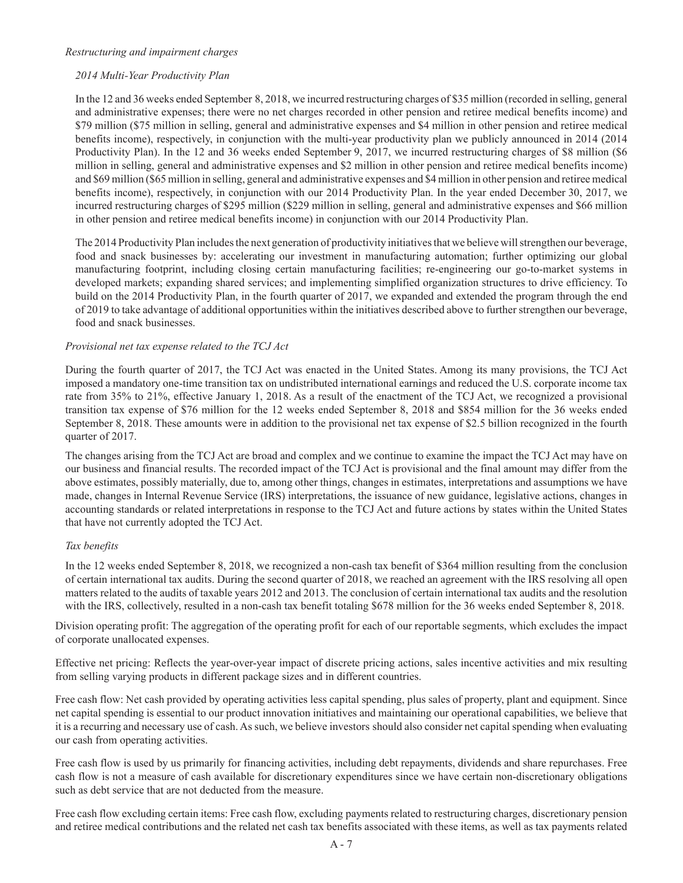#### *Restructuring and impairment charges*

#### *2014 Multi-Year Productivity Plan*

In the 12 and 36 weeks ended September 8, 2018, we incurred restructuring charges of \$35 million (recorded in selling, general and administrative expenses; there were no net charges recorded in other pension and retiree medical benefits income) and \$79 million (\$75 million in selling, general and administrative expenses and \$4 million in other pension and retiree medical benefits income), respectively, in conjunction with the multi-year productivity plan we publicly announced in 2014 (2014 Productivity Plan). In the 12 and 36 weeks ended September 9, 2017, we incurred restructuring charges of \$8 million (\$6 million in selling, general and administrative expenses and \$2 million in other pension and retiree medical benefits income) and \$69 million (\$65 million in selling, general and administrative expenses and \$4 million in other pension and retiree medical benefits income), respectively, in conjunction with our 2014 Productivity Plan. In the year ended December 30, 2017, we incurred restructuring charges of \$295 million (\$229 million in selling, general and administrative expenses and \$66 million in other pension and retiree medical benefits income) in conjunction with our 2014 Productivity Plan.

The 2014 Productivity Plan includes the next generation of productivity initiatives that we believe will strengthen our beverage, food and snack businesses by: accelerating our investment in manufacturing automation; further optimizing our global manufacturing footprint, including closing certain manufacturing facilities; re-engineering our go-to-market systems in developed markets; expanding shared services; and implementing simplified organization structures to drive efficiency. To build on the 2014 Productivity Plan, in the fourth quarter of 2017, we expanded and extended the program through the end of 2019 to take advantage of additional opportunities within the initiatives described above to further strengthen our beverage, food and snack businesses.

### *Provisional net tax expense related to the TCJ Act*

During the fourth quarter of 2017, the TCJ Act was enacted in the United States. Among its many provisions, the TCJ Act imposed a mandatory one-time transition tax on undistributed international earnings and reduced the U.S. corporate income tax rate from 35% to 21%, effective January 1, 2018. As a result of the enactment of the TCJ Act, we recognized a provisional transition tax expense of \$76 million for the 12 weeks ended September 8, 2018 and \$854 million for the 36 weeks ended September 8, 2018. These amounts were in addition to the provisional net tax expense of \$2.5 billion recognized in the fourth quarter of 2017.

The changes arising from the TCJ Act are broad and complex and we continue to examine the impact the TCJ Act may have on our business and financial results. The recorded impact of the TCJ Act is provisional and the final amount may differ from the above estimates, possibly materially, due to, among other things, changes in estimates, interpretations and assumptions we have made, changes in Internal Revenue Service (IRS) interpretations, the issuance of new guidance, legislative actions, changes in accounting standards or related interpretations in response to the TCJ Act and future actions by states within the United States that have not currently adopted the TCJ Act.

#### *Tax benefits*

In the 12 weeks ended September 8, 2018, we recognized a non-cash tax benefit of \$364 million resulting from the conclusion of certain international tax audits. During the second quarter of 2018, we reached an agreement with the IRS resolving all open matters related to the audits of taxable years 2012 and 2013. The conclusion of certain international tax audits and the resolution with the IRS, collectively, resulted in a non-cash tax benefit totaling \$678 million for the 36 weeks ended September 8, 2018.

Division operating profit: The aggregation of the operating profit for each of our reportable segments, which excludes the impact of corporate unallocated expenses.

Effective net pricing: Reflects the year-over-year impact of discrete pricing actions, sales incentive activities and mix resulting from selling varying products in different package sizes and in different countries.

Free cash flow: Net cash provided by operating activities less capital spending, plus sales of property, plant and equipment. Since net capital spending is essential to our product innovation initiatives and maintaining our operational capabilities, we believe that it is a recurring and necessary use of cash. As such, we believe investors should also consider net capital spending when evaluating our cash from operating activities.

Free cash flow is used by us primarily for financing activities, including debt repayments, dividends and share repurchases. Free cash flow is not a measure of cash available for discretionary expenditures since we have certain non-discretionary obligations such as debt service that are not deducted from the measure.

Free cash flow excluding certain items: Free cash flow, excluding payments related to restructuring charges, discretionary pension and retiree medical contributions and the related net cash tax benefits associated with these items, as well as tax payments related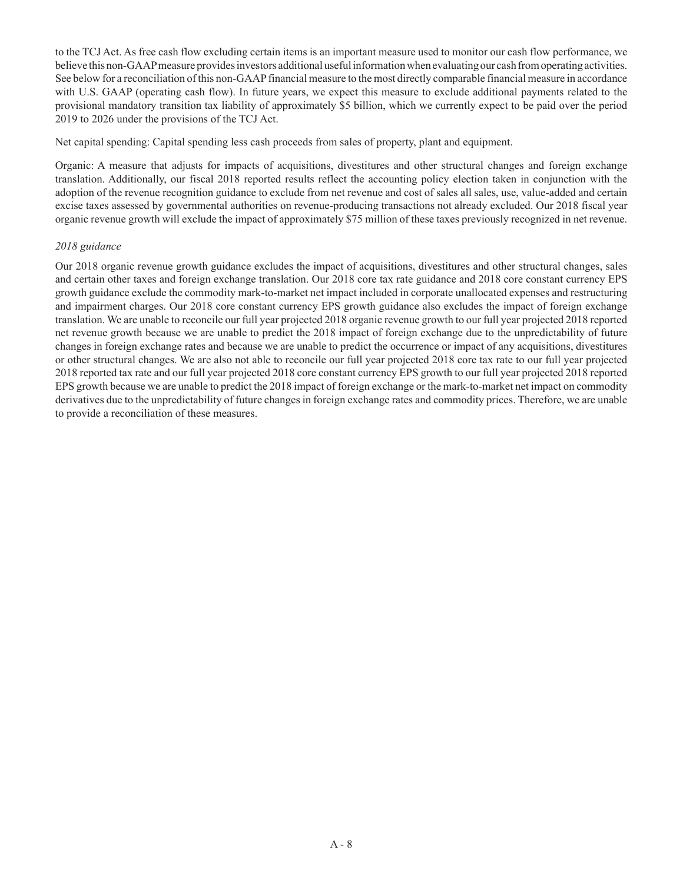to the TCJ Act. As free cash flow excluding certain items is an important measure used to monitor our cash flow performance, we believe this non-GAAP measure provides investors additional useful information when evaluating our cash from operating activities. See below for a reconciliation of this non-GAAP financial measure to the most directly comparable financial measure in accordance with U.S. GAAP (operating cash flow). In future years, we expect this measure to exclude additional payments related to the provisional mandatory transition tax liability of approximately \$5 billion, which we currently expect to be paid over the period 2019 to 2026 under the provisions of the TCJ Act.

Net capital spending: Capital spending less cash proceeds from sales of property, plant and equipment.

Organic: A measure that adjusts for impacts of acquisitions, divestitures and other structural changes and foreign exchange translation. Additionally, our fiscal 2018 reported results reflect the accounting policy election taken in conjunction with the adoption of the revenue recognition guidance to exclude from net revenue and cost of sales all sales, use, value-added and certain excise taxes assessed by governmental authorities on revenue-producing transactions not already excluded. Our 2018 fiscal year organic revenue growth will exclude the impact of approximately \$75 million of these taxes previously recognized in net revenue.

#### *2018 guidance*

Our 2018 organic revenue growth guidance excludes the impact of acquisitions, divestitures and other structural changes, sales and certain other taxes and foreign exchange translation. Our 2018 core tax rate guidance and 2018 core constant currency EPS growth guidance exclude the commodity mark-to-market net impact included in corporate unallocated expenses and restructuring and impairment charges. Our 2018 core constant currency EPS growth guidance also excludes the impact of foreign exchange translation. We are unable to reconcile our full year projected 2018 organic revenue growth to our full year projected 2018 reported net revenue growth because we are unable to predict the 2018 impact of foreign exchange due to the unpredictability of future changes in foreign exchange rates and because we are unable to predict the occurrence or impact of any acquisitions, divestitures or other structural changes. We are also not able to reconcile our full year projected 2018 core tax rate to our full year projected 2018 reported tax rate and our full year projected 2018 core constant currency EPS growth to our full year projected 2018 reported EPS growth because we are unable to predict the 2018 impact of foreign exchange or the mark-to-market net impact on commodity derivatives due to the unpredictability of future changes in foreign exchange rates and commodity prices. Therefore, we are unable to provide a reconciliation of these measures.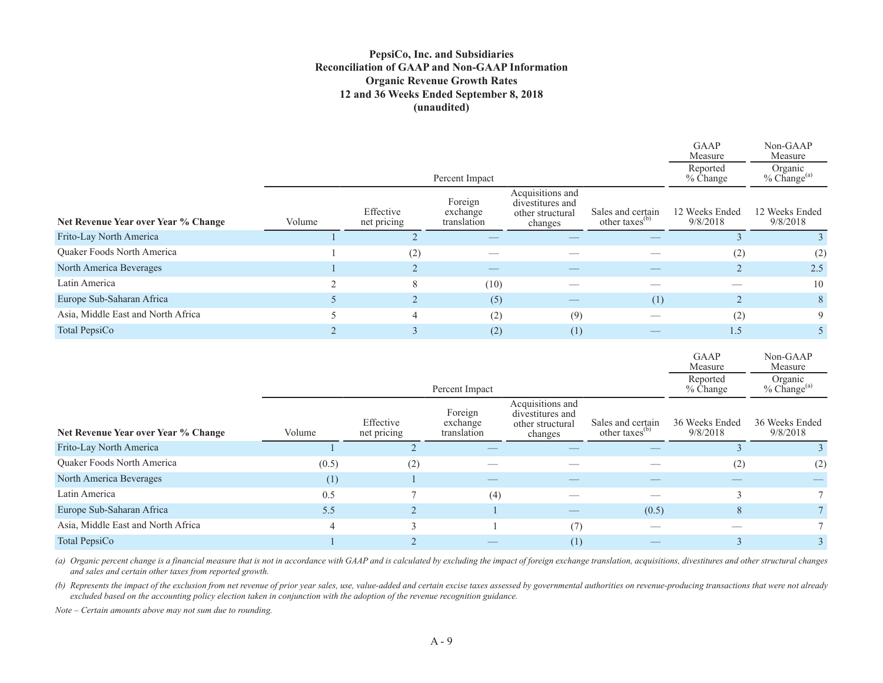### **PepsiCo, Inc. and Subsidiaries Reconciliation of GAAP and Non-GAAP Information Organic Revenue Growth Rates 12 and 36 Weeks Ended September 8, 2018 (unaudited)**

|                                     |        |                          |                                    |                                                                     |                                                 | GAAP<br>Measure            | Non-GAAP<br>Measure         |
|-------------------------------------|--------|--------------------------|------------------------------------|---------------------------------------------------------------------|-------------------------------------------------|----------------------------|-----------------------------|
|                                     |        |                          | Percent Impact                     |                                                                     |                                                 | Reported<br>% Change       | Organic<br>$%$ Change $(a)$ |
| Net Revenue Year over Year % Change | Volume | Effective<br>net pricing | Foreign<br>exchange<br>translation | Acquisitions and<br>divestitures and<br>other structural<br>changes | Sales and certain<br>other taxes <sup>(b)</sup> | 12 Weeks Ended<br>9/8/2018 | 12 Weeks Ended<br>9/8/2018  |
| Frito-Lay North America             |        |                          |                                    |                                                                     |                                                 |                            |                             |
| Quaker Foods North America          |        | (2)                      |                                    |                                                                     |                                                 | (2)                        | (2)                         |
| North America Beverages             |        |                          |                                    |                                                                     |                                                 |                            | 2.5                         |
| Latin America                       | $\sim$ | 8                        | (10)                               |                                                                     |                                                 |                            | 10                          |
| Europe Sub-Saharan Africa           |        |                          | (5)                                |                                                                     | (1)                                             |                            | 8                           |
| Asia, Middle East and North Africa  |        | 4                        | (2)                                | (9)                                                                 |                                                 | (2)                        | 9                           |
| Total PepsiCo                       |        |                          | (2)                                | (1)                                                                 |                                                 | 1.5                        |                             |
|                                     |        |                          |                                    |                                                                     |                                                 |                            |                             |

| GAAP                 | $Non-GAAP$                         |
|----------------------|------------------------------------|
| Measure              | Measure                            |
| Reported<br>% Change | Organic<br>% Change <sup>(a)</sup> |

 $\overline{\phantom{0}}$ 

|                                     |        |                          | Percent Impact                     |                                                                     |                                                 | ---p---- <i>-</i><br>$%$ Change | $-$ - $\sigma$ - $-$ -<br>$%$ Change $^{(a)}$ |
|-------------------------------------|--------|--------------------------|------------------------------------|---------------------------------------------------------------------|-------------------------------------------------|---------------------------------|-----------------------------------------------|
| Net Revenue Year over Year % Change | Volume | Effective<br>net pricing | Foreign<br>exchange<br>translation | Acquisitions and<br>divestitures and<br>other structural<br>changes | Sales and certain<br>other taxes <sup>(b)</sup> | 36 Weeks Ended<br>9/8/2018      | 36 Weeks Ended<br>9/8/2018                    |
| Frito-Lay North America             |        |                          |                                    |                                                                     |                                                 |                                 |                                               |
| Quaker Foods North America          | (0.5)  | (2)                      |                                    |                                                                     |                                                 | $^{(2)}$                        | (2)                                           |
| North America Beverages             | (1)    |                          |                                    |                                                                     |                                                 |                                 |                                               |
| Latin America                       | 0.5    |                          | (4)                                |                                                                     |                                                 |                                 |                                               |
| Europe Sub-Saharan Africa           | 5.5    | $\bigcap$                |                                    |                                                                     | (0.5)                                           | 8                               |                                               |
| Asia, Middle East and North Africa  | 4      |                          |                                    | (7)                                                                 |                                                 |                                 |                                               |
| Total PepsiCo                       |        |                          |                                    | (1)                                                                 |                                                 |                                 |                                               |

(a) Organic percent change is a financial measure that is not in accordance with GAAP and is calculated by excluding the impact of foreign exchange translation, acquisitions, divestitures and other structural changes *and sales and certain other taxes from reported growth.* 

*(b) Represents the impact of the exclusion from net revenue of prior year sales, use, value-added and certain excise taxes assessed by governmental authorities on revenue-producing transactions that were not already excluded based on the accounting policy election taken in conjunction with the adoption of the revenue recognition guidance.*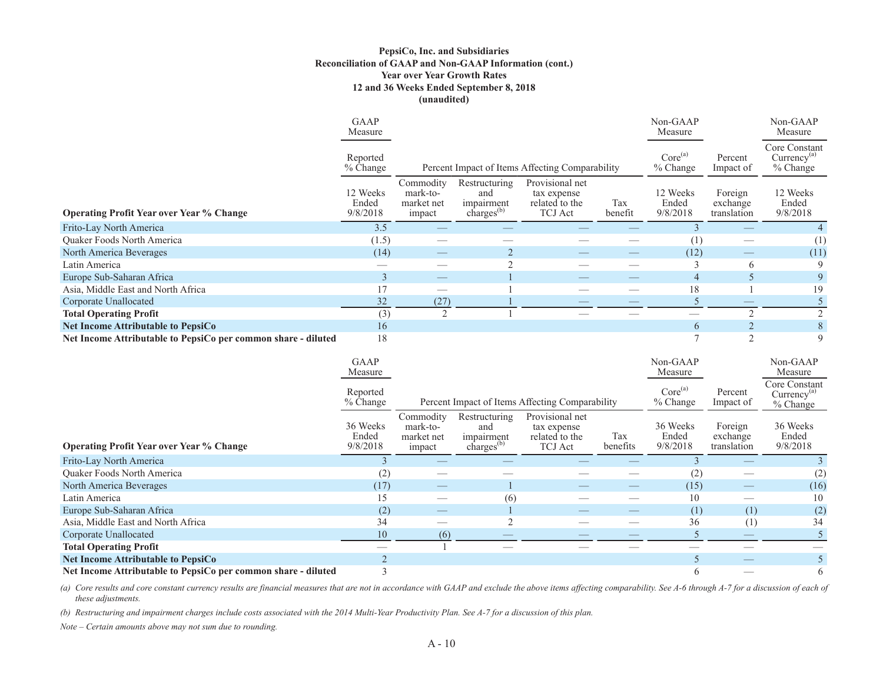#### **PepsiCo, Inc. and Subsidiaries Reconciliation of GAAP and Non-GAAP Information (cont.) Year over Year Growth Rates 12 and 36 Weeks Ended September 8, 2018 (unaudited)**

|                                                               | GAAP<br>Measure               |                                               |                                                              |                                                                    |                | Non-GAAP<br>Measure               |                                    | Non-GAAP<br>Measure                                  |
|---------------------------------------------------------------|-------------------------------|-----------------------------------------------|--------------------------------------------------------------|--------------------------------------------------------------------|----------------|-----------------------------------|------------------------------------|------------------------------------------------------|
|                                                               | Reported<br>$%$ Change        |                                               |                                                              | Percent Impact of Items Affecting Comparability                    |                | Core <sup>(a)</sup><br>$%$ Change | Percent<br>Impact of               | Core Constant<br>Curreney <sup>(a)</sup><br>% Change |
| <b>Operating Profit Year over Year % Change</b>               | 12 Weeks<br>Ended<br>9/8/2018 | Commodity<br>mark-to-<br>market net<br>impact | Restructuring<br>and<br>impairment<br>charges <sup>(b)</sup> | Provisional net<br>tax expense<br>related to the<br><b>TCJ</b> Act | Tax<br>benefit | 12 Weeks<br>Ended<br>9/8/2018     | Foreign<br>exchange<br>translation | 12 Weeks<br>Ended<br>9/8/2018                        |
| Frito-Lay North America                                       | 3.5                           |                                               |                                                              |                                                                    |                |                                   |                                    |                                                      |
| <b>Ouaker Foods North America</b>                             | (1.5)                         |                                               |                                                              |                                                                    |                | $^{(1)}$                          |                                    | (1)                                                  |
| North America Beverages                                       | (14)                          |                                               |                                                              |                                                                    |                | (12)                              |                                    | (11)                                                 |
| Latin America                                                 |                               |                                               |                                                              |                                                                    |                |                                   | 6                                  | 9                                                    |
| Europe Sub-Saharan Africa                                     |                               |                                               |                                                              |                                                                    |                | $\overline{4}$                    |                                    | 9                                                    |
| Asia, Middle East and North Africa                            |                               |                                               |                                                              |                                                                    |                | 18                                |                                    | 19                                                   |
| Corporate Unallocated                                         | 32                            | (27)                                          |                                                              |                                                                    |                |                                   |                                    |                                                      |
| <b>Total Operating Profit</b>                                 | (3)                           | $\bigcirc$                                    |                                                              |                                                                    |                |                                   |                                    |                                                      |
| <b>Net Income Attributable to PepsiCo</b>                     | 16                            |                                               |                                                              |                                                                    |                | 6                                 |                                    |                                                      |
| Net Income Attributable to PepsiCo per common share - diluted | 18                            |                                               |                                                              |                                                                    |                |                                   | $\bigcap$                          | 9                                                    |

|                                                               | GAAP<br>Measure               |                                               |                                                              |                                                                    |                 | Non-GAAP<br>Measure               |                                    | Non-GAAP<br>Measure                             |
|---------------------------------------------------------------|-------------------------------|-----------------------------------------------|--------------------------------------------------------------|--------------------------------------------------------------------|-----------------|-----------------------------------|------------------------------------|-------------------------------------------------|
|                                                               | Reported<br>$%$ Change        |                                               |                                                              | Percent Impact of Items Affecting Comparability                    |                 | Core <sup>(a)</sup><br>$%$ Change | Percent<br>Impact of               | Core Constant<br>$Currency^{(a)}$<br>$%$ Change |
| <b>Operating Profit Year over Year % Change</b>               | 36 Weeks<br>Ended<br>9/8/2018 | Commodity<br>mark-to-<br>market net<br>impact | Restructuring<br>and<br>impairment<br>charges <sup>(b)</sup> | Provisional net<br>tax expense<br>related to the<br><b>TCJ</b> Act | Tax<br>benefits | 36 Weeks<br>Ended<br>9/8/2018     | Foreign<br>exchange<br>translation | 36 Weeks<br>Ended<br>9/8/2018                   |
| Frito-Lay North America                                       |                               |                                               |                                                              |                                                                    |                 |                                   |                                    |                                                 |
| <b>Ouaker Foods North America</b>                             | (2)                           |                                               |                                                              |                                                                    |                 | (2, 2)                            |                                    | (2)                                             |
| North America Beverages                                       | (17)                          |                                               |                                                              |                                                                    |                 | (15)                              |                                    | (16)                                            |
| Latin America                                                 |                               |                                               | (6)                                                          |                                                                    |                 | 10                                |                                    | 10                                              |
| Europe Sub-Saharan Africa                                     | (2)                           |                                               |                                                              |                                                                    |                 | (1)                               | (1)                                | (2)                                             |
| Asia, Middle East and North Africa                            | 34                            |                                               |                                                              |                                                                    |                 | 36                                | (1)                                | 34                                              |
| Corporate Unallocated                                         | 10                            | (6)                                           |                                                              |                                                                    |                 |                                   |                                    |                                                 |
| <b>Total Operating Profit</b>                                 |                               |                                               |                                                              |                                                                    |                 |                                   |                                    |                                                 |
| <b>Net Income Attributable to PepsiCo</b>                     |                               |                                               |                                                              |                                                                    |                 |                                   |                                    |                                                 |
| Net Income Attributable to PepsiCo per common share - diluted |                               |                                               |                                                              |                                                                    |                 | b.                                |                                    | 6                                               |

(a) Core results and core constant currency results are financial measures that are not in accordance with GAAP and exclude the above items affecting comparability. See A-6 through A-7 for a discussion of each of *these adjustments.*

*(b) Restructuring and impairment charges include costs associated with the 2014 Multi-Year Productivity Plan. See A-7 for a discussion of this plan.*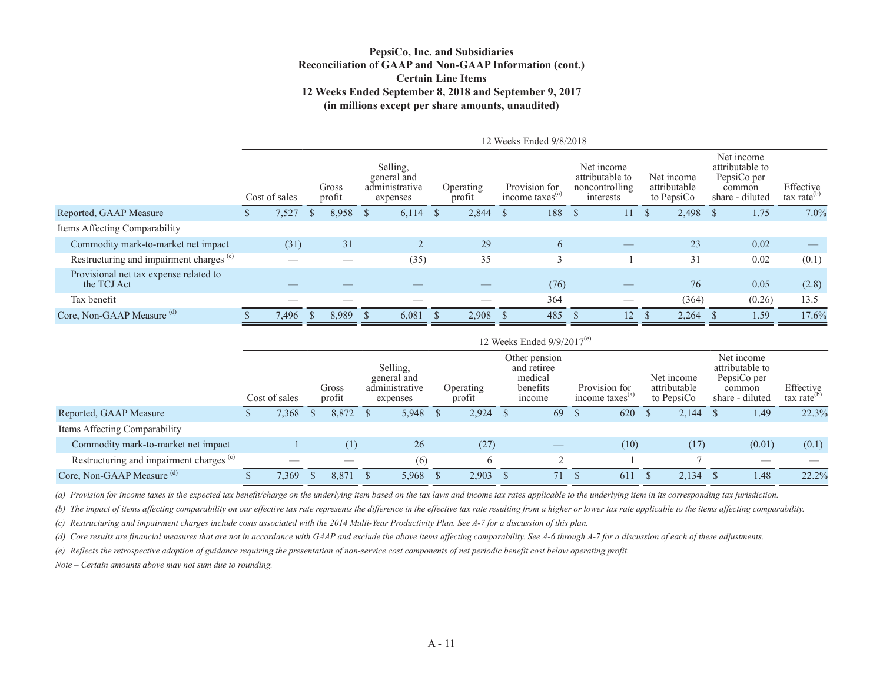#### **PepsiCo, Inc. and Subsidiaries Reconciliation of GAAP and Non-GAAP Information (cont.) Certain Line Items12 Weeks Ended September 8, 2018 and September 9, 2017 (in millions except per share amounts, unaudited)**

|                                                       | 12 Weeks Ended 9/8/2018 |               |    |                 |    |                                                       |              |                     |      |                                              |      |                                                              |               |                                          |    |                                                                           |                                      |
|-------------------------------------------------------|-------------------------|---------------|----|-----------------|----|-------------------------------------------------------|--------------|---------------------|------|----------------------------------------------|------|--------------------------------------------------------------|---------------|------------------------------------------|----|---------------------------------------------------------------------------|--------------------------------------|
|                                                       |                         | Cost of sales |    | Gross<br>profit |    | Selling,<br>general and<br>administrative<br>expenses |              | Operating<br>profit |      | Provision for<br>income taxes <sup>(a)</sup> |      | Net income<br>attributable to<br>noncontrolling<br>interests |               | Net income<br>attributable<br>to PepsiCo |    | Net income<br>attributable to<br>PepsiCo per<br>common<br>share - diluted | Effective<br>tax rate <sup>(b)</sup> |
| Reported, GAAP Measure                                | <b>D</b>                | 1,527         | S. | 8,958           | -S | 6,114                                                 | <sup>S</sup> | 2,844               | - \$ | 188                                          | - \$ | 11.                                                          | <sup>\$</sup> | 2,498                                    | -8 | 1.75                                                                      | 7.0%                                 |
| Items Affecting Comparability                         |                         |               |    |                 |    |                                                       |              |                     |      |                                              |      |                                                              |               |                                          |    |                                                                           |                                      |
| Commodity mark-to-market net impact                   |                         | (31)          |    | 31              |    |                                                       |              | 29                  |      | 6                                            |      |                                                              |               | 23                                       |    | 0.02                                                                      |                                      |
| Restructuring and impairment charges <sup>(c)</sup>   |                         |               |    |                 |    | (35)                                                  |              | 35                  |      |                                              |      |                                                              |               | 31                                       |    | 0.02                                                                      | (0.1)                                |
| Provisional net tax expense related to<br>the TCJ Act |                         |               |    |                 |    |                                                       |              |                     |      | (76)                                         |      |                                                              |               | 76                                       |    | 0.05                                                                      | (2.8)                                |
| Tax benefit                                           |                         |               |    |                 |    |                                                       |              |                     |      | 364                                          |      |                                                              |               | (364)                                    |    | (0.26)                                                                    | 13.5                                 |
| Core, Non-GAAP Measure <sup>(d)</sup>                 |                         | 7,496         |    | 8,989           |    | 6,081                                                 |              | 2,908               |      | 485                                          |      | 12                                                           |               | 2,264                                    |    | 1.59                                                                      | 17.6%                                |
|                                                       |                         |               |    |                 |    |                                                       |              |                     |      |                                              |      |                                                              |               |                                          |    |                                                                           |                                      |

|                                                     | 12 Weeks Ended $9/9/2017$ <sup>(e)</sup> |  |                 |  |                                                       |  |                     |  |                                                               |               |                                              |  |                                          |  |                                                                           |                                |
|-----------------------------------------------------|------------------------------------------|--|-----------------|--|-------------------------------------------------------|--|---------------------|--|---------------------------------------------------------------|---------------|----------------------------------------------|--|------------------------------------------|--|---------------------------------------------------------------------------|--------------------------------|
|                                                     | Cost of sales                            |  | Gross<br>profit |  | Selling.<br>general and<br>administrative<br>expenses |  | Operating<br>profit |  | Other pension<br>and retiree<br>medical<br>benefits<br>income |               | Provision for<br>income taxes <sup>(a)</sup> |  | Net income<br>attributable<br>to PepsiCo |  | Net income<br>attributable to<br>PepsiCo per<br>common<br>share - diluted | Effective<br>tax rate $^{(b)}$ |
| Reported, GAAP Measure                              | 7,368                                    |  | 8,872           |  | 5,948                                                 |  | 2,924               |  | 69                                                            | <sup>\$</sup> | 620                                          |  | $2,144$ \$                               |  | 1.49                                                                      | 22.3%                          |
| Items Affecting Comparability                       |                                          |  |                 |  |                                                       |  |                     |  |                                                               |               |                                              |  |                                          |  |                                                                           |                                |
| Commodity mark-to-market net impact                 |                                          |  | (1)             |  | 26                                                    |  | (27)                |  |                                                               |               | (10)                                         |  | (17)                                     |  | (0.01)                                                                    | (0.1)                          |
| Restructuring and impairment charges <sup>(c)</sup> |                                          |  |                 |  | (6)                                                   |  | h                   |  |                                                               |               |                                              |  |                                          |  |                                                                           |                                |
| Core, Non-GAAP Measure <sup>(d)</sup>               | /369                                     |  | 8,871           |  | 5,968                                                 |  | 2,903               |  | 71                                                            |               | 611                                          |  | 2.134                                    |  | 1.48                                                                      | 22.2%                          |

*(a) Provision for income taxes is the expected tax benefit/charge on the underlying item based on the tax laws and income tax rates applicable to the underlying item in its corresponding tax jurisdiction.* 

*(b) The impact of items affecting comparability on our effective tax rate represents the difference in the effective tax rate resulting from a higher or lower tax rate applicable to the items affecting comparability.*

*(c) Restructuring and impairment charges include costs associated with the 2014 Multi-Year Productivity Plan. See A-7 for a discussion of this plan.*

*(d) Core results are financial measures that are not in accordance with GAAP and exclude the above items affecting comparability. See A-6 through A-7 for a discussion of each of these adjustments.*

*(e) Reflects the retrospective adoption of guidance requiring the presentation of non-service cost components of net periodic benefit cost below operating profit.*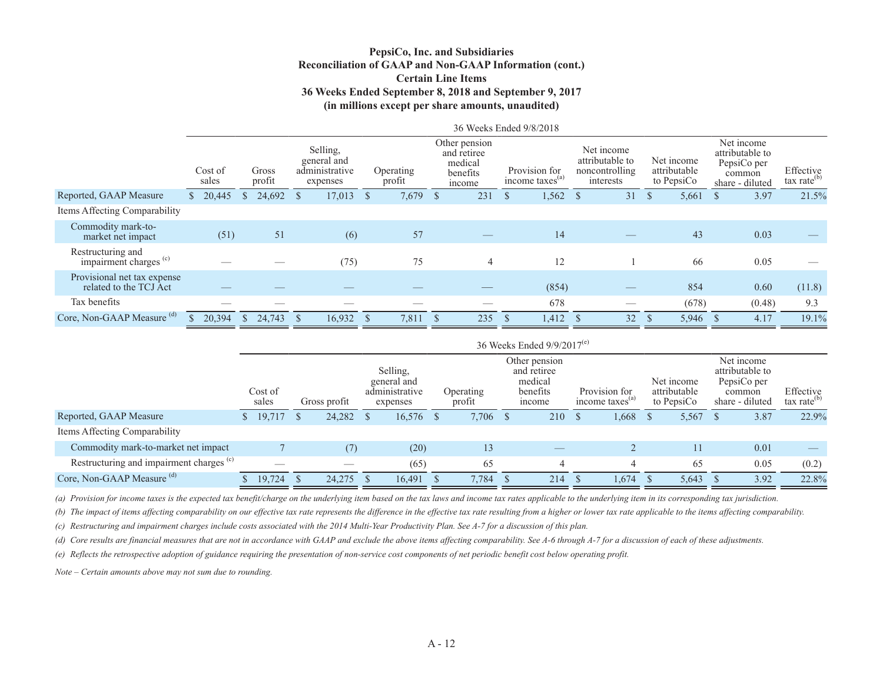#### **PepsiCo, Inc. and Subsidiaries Reconciliation of GAAP and Non-GAAP Information (cont.) Certain Line Items 36 Weeks Ended September 8, 2018 and September 9, 2017 (in millions except per share amounts, unaudited)**

|                                                        |                    |               |                 |                                                       |                     |              |                                                               |     | 36 Weeks Ended 9/8/2018                      |                                                              |      |                                          |              |                                                                           |                                      |
|--------------------------------------------------------|--------------------|---------------|-----------------|-------------------------------------------------------|---------------------|--------------|---------------------------------------------------------------|-----|----------------------------------------------|--------------------------------------------------------------|------|------------------------------------------|--------------|---------------------------------------------------------------------------|--------------------------------------|
|                                                        | Cost of<br>sales   |               | Gross<br>profit | Selling,<br>general and<br>administrative<br>expenses | Operating<br>profit |              | Other pension<br>and retiree<br>medical<br>benefits<br>income |     | Provision for<br>income taxes <sup>(a)</sup> | Net income<br>attributable to<br>noncontrolling<br>interests |      | Net income<br>attributable<br>to PepsiCo |              | Net income<br>attributable to<br>PepsiCo per<br>common<br>share - diluted | Effective<br>tax rate <sup>(b)</sup> |
| Reported, GAAP Measure                                 | $\frac{$}{20,445}$ | S             | $24,692$ \$     | $17,013$ \$                                           | 7,679               | <sup>S</sup> | 231                                                           | - 8 | $1,562$ \$                                   | 31                                                           | - \$ | 5,661                                    | <sup>S</sup> | 3.97                                                                      | 21.5%                                |
| Items Affecting Comparability                          |                    |               |                 |                                                       |                     |              |                                                               |     |                                              |                                                              |      |                                          |              |                                                                           |                                      |
| Commodity mark-to-<br>market net impact                | (51)               |               | 51              | (6)                                                   | 57                  |              |                                                               |     | 14                                           |                                                              |      | 43                                       |              | 0.03                                                                      |                                      |
| Restructuring and<br>impairment charges <sup>(c)</sup> |                    |               |                 | (75)                                                  | 75                  |              | $\overline{4}$                                                |     | 12                                           |                                                              |      | 66                                       |              | 0.05                                                                      |                                      |
| Provisional net tax expense<br>related to the TCJ Act  |                    |               |                 |                                                       |                     |              |                                                               |     | (854)                                        |                                                              |      | 854                                      |              | 0.60                                                                      | (11.8)                               |
| Tax benefits                                           |                    |               |                 |                                                       |                     |              |                                                               |     | 678                                          |                                                              |      | (678)                                    |              | (0.48)                                                                    | 9.3                                  |
| Core, Non-GAAP Measure (d)                             | 20,394             | <sup>\$</sup> | 24.743          | 16,932                                                | 7,811               |              | 235                                                           |     | 1,412                                        | 32                                                           |      | 5,946                                    |              | 4.17                                                                      | 19.1%                                |
|                                                        |                    |               |                 |                                                       |                     |              |                                                               |     |                                              |                                                              |      |                                          |              |                                                                           |                                      |

|                                                     | 36 Weeks Ended 9/9/2017 <sup>(e)</sup> |     |              |  |                                                       |  |                            |  |                                                               |      |                                     |  |                                          |  |                                                                           |                             |
|-----------------------------------------------------|----------------------------------------|-----|--------------|--|-------------------------------------------------------|--|----------------------------|--|---------------------------------------------------------------|------|-------------------------------------|--|------------------------------------------|--|---------------------------------------------------------------------------|-----------------------------|
|                                                     | Cost of<br>sales                       |     | Gross profit |  | Selling,<br>general and<br>administrative<br>expenses |  | <b>Operating</b><br>profit |  | Other pension<br>and retiree<br>medical<br>benefits<br>income |      | Provision for<br>income taxes $(a)$ |  | Net income<br>attributable<br>to PepsiCo |  | Net income<br>attributable to<br>PepsiCo per<br>common<br>share - diluted | Effective<br>tax rate $(b)$ |
| Reported, GAAP Measure                              | 19,717                                 | - S | $24,282$ \$  |  | 16,576                                                |  | 7,706 \$                   |  | 210                                                           | - \$ | 1,668                               |  | 5,567                                    |  | 3.87                                                                      | 22.9%                       |
| Items Affecting Comparability                       |                                        |     |              |  |                                                       |  |                            |  |                                                               |      |                                     |  |                                          |  |                                                                           |                             |
| Commodity mark-to-market net impact                 |                                        |     | (7)          |  | (20)                                                  |  | 13                         |  |                                                               |      |                                     |  | 11                                       |  | 0.01                                                                      |                             |
| Restructuring and impairment charges <sup>(c)</sup> |                                        |     |              |  | (65)                                                  |  | 65                         |  |                                                               |      |                                     |  | 65                                       |  | 0.05                                                                      | (0.2)                       |
| Core, Non-GAAP Measure <sup>(d)</sup>               | 19,724                                 |     | 24,275       |  | 16,491                                                |  | 7,784                      |  | 214                                                           |      | 1,674                               |  | 5,643                                    |  | 3.92                                                                      | 22.8%                       |

*(a) Provision for income taxes is the expected tax benefit/charge on the underlying item based on the tax laws and income tax rates applicable to the underlying item in its corresponding tax jurisdiction.* 

*(b) The impact of items affecting comparability on our effective tax rate represents the difference in the effective tax rate resulting from a higher or lower tax rate applicable to the items affecting comparability.*

*(c) Restructuring and impairment charges include costs associated with the 2014 Multi-Year Productivity Plan. See A-7 for a discussion of this plan.*

*(d) Core results are financial measures that are not in accordance with GAAP and exclude the above items affecting comparability. See A-6 through A-7 for a discussion of each of these adjustments.*

*(e) Reflects the retrospective adoption of guidance requiring the presentation of non-service cost components of net periodic benefit cost below operating profit.*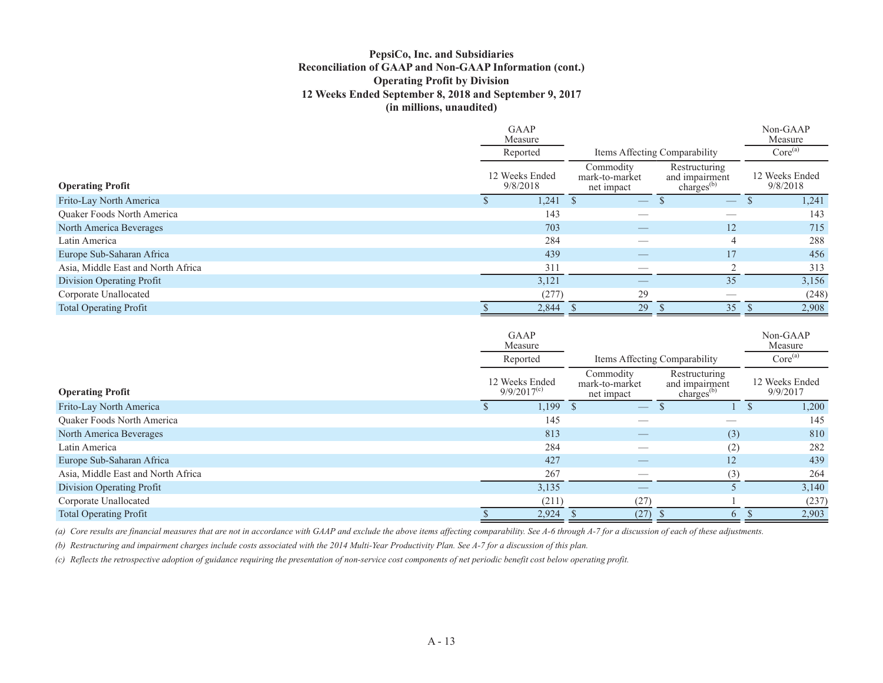### **PepsiCo, Inc. and Subsidiaries Reconciliation of GAAP and Non-GAAP Information (cont.) Operating Profit by Division 12 Weeks Ended September 8, 2018 and September 9, 2017 (in millions, unaudited)**

|                                    | <b>GAAP</b><br>Measure     |                                           |                                                           | Non-GAAP<br>Measure        |
|------------------------------------|----------------------------|-------------------------------------------|-----------------------------------------------------------|----------------------------|
|                                    | Reported                   |                                           | Items Affecting Comparability                             | Core <sup>(a)</sup>        |
| <b>Operating Profit</b>            | 12 Weeks Ended<br>9/8/2018 | Commodity<br>mark-to-market<br>net impact | Restructuring<br>and impairment<br>charges <sup>(b)</sup> | 12 Weeks Ended<br>9/8/2018 |
| Frito-Lay North America            | 1,241                      | $\overbrace{\hspace{25mm}}^{}$            | $\overbrace{\hspace{25mm}}^{}$                            | 1,241                      |
| Quaker Foods North America         | 143                        |                                           |                                                           | 143                        |
| North America Beverages            | 703                        |                                           | 12                                                        | 715                        |
| Latin America                      | 284                        |                                           | 4                                                         | 288                        |
| Europe Sub-Saharan Africa          | 439                        |                                           | 17                                                        | 456                        |
| Asia, Middle East and North Africa | 311                        |                                           | $\bigcap$                                                 | 313                        |
| Division Operating Profit          | 3,121                      |                                           | 35                                                        | 3,156                      |
| Corporate Unallocated              | (277)                      | 29                                        |                                                           | (248)                      |
| <b>Total Operating Profit</b>      | 2,844                      | 29                                        | 35                                                        | 2,908                      |

|                                    | <b>GAAP</b><br>Measure             |                                           |                                                     | Non-GAAP<br>Measure        |
|------------------------------------|------------------------------------|-------------------------------------------|-----------------------------------------------------|----------------------------|
|                                    | Reported                           |                                           | Items Affecting Comparability                       | Core <sup>(a)</sup>        |
| <b>Operating Profit</b>            | 12 Weeks Ended<br>$9/9/2017^{(c)}$ | Commodity<br>mark-to-market<br>net impact | Restructuring<br>and impairment<br>charges $^{(b)}$ | 12 Weeks Ended<br>9/9/2017 |
| Frito-Lay North America            | 1,199                              | $\overline{\phantom{m}}$                  |                                                     | 1,200                      |
| Quaker Foods North America         | 145                                |                                           |                                                     | 145                        |
| North America Beverages            | 813                                |                                           | (3)                                                 | 810                        |
| Latin America                      | 284                                |                                           | (2)                                                 | 282                        |
| Europe Sub-Saharan Africa          | 427                                |                                           | 12                                                  | 439                        |
| Asia, Middle East and North Africa | 267                                |                                           | (3)                                                 | 264                        |
| Division Operating Profit          | 3,135                              |                                           |                                                     | 3,140                      |
| Corporate Unallocated              | (211)                              | (27)                                      |                                                     | (237)                      |
| <b>Total Operating Profit</b>      | 2,924                              | (27)                                      | $\mathbf{6}$                                        | 2,903                      |

*(a) Core results are financial measures that are not in accordance with GAAP and exclude the above items affecting comparability. See A-6 through A-7 for a discussion of each of these adjustments.*

*(b) Restructuring and impairment charges include costs associated with the 2014 Multi-Year Productivity Plan. See A-7 for a discussion of this plan.*

*(c) Reflects the retrospective adoption of guidance requiring the presentation of non-service cost components of net periodic benefit cost below operating profit.*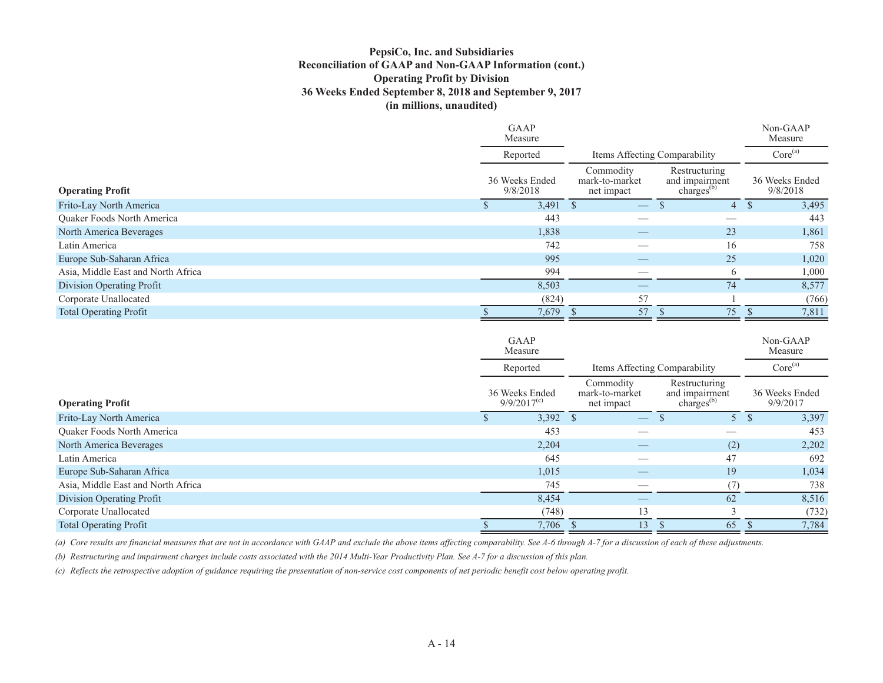#### **PepsiCo, Inc. and Subsidiaries Reconciliation of GAAP and Non-GAAP Information (cont.) Operating Profit by Division 36 Weeks Ended September 8, 2018 and September 9, 2017 (in millions, unaudited)**

|                                    | <b>GAAP</b><br>Measure     |                                           |                                                  | Non-GAAP<br>Measure        |
|------------------------------------|----------------------------|-------------------------------------------|--------------------------------------------------|----------------------------|
|                                    | Reported                   |                                           | Items Affecting Comparability                    | Core <sup>(a)</sup>        |
| <b>Operating Profit</b>            | 36 Weeks Ended<br>9/8/2018 | Commodity<br>mark-to-market<br>net impact | Restructuring<br>and impairment<br>charges $(b)$ | 36 Weeks Ended<br>9/8/2018 |
| Frito-Lay North America            | 3,491                      | $\overline{\phantom{m}}$                  | 4                                                | 3,495                      |
| <b>Ouaker Foods North America</b>  | 443                        |                                           |                                                  | 443                        |
| North America Beverages            | 1,838                      |                                           | 23                                               | 1,861                      |
| Latin America                      | 742                        |                                           | 16                                               | 758                        |
| Europe Sub-Saharan Africa          | 995                        |                                           | 25                                               | 1,020                      |
| Asia, Middle East and North Africa | 994                        |                                           | $\mathfrak b$                                    | 1,000                      |
| Division Operating Profit          | 8,503                      |                                           | 74                                               | 8,577                      |
| Corporate Unallocated              | (824)                      | 57                                        |                                                  | (766)                      |
| <b>Total Operating Profit</b>      | 7,679                      | 57                                        | 75                                               | 7,811                      |

|                                    | <b>GAAP</b><br>Measure                 |                                           |                                                     | Non-GAAP<br>Measure        |
|------------------------------------|----------------------------------------|-------------------------------------------|-----------------------------------------------------|----------------------------|
|                                    | Reported                               | Items Affecting Comparability             |                                                     | Core <sup>(a)</sup>        |
| <b>Operating Profit</b>            | 36 Weeks Ended<br>$9/9/2017^{\rm (c)}$ | Commodity<br>mark-to-market<br>net impact | Restructuring<br>and impairment<br>charges $^{(b)}$ | 36 Weeks Ended<br>9/9/2017 |
| Frito-Lay North America            | $3,392$ \$                             |                                           |                                                     | 3,397                      |
| Quaker Foods North America         | 453                                    |                                           |                                                     | 453                        |
| North America Beverages            | 2,204                                  |                                           | (2)                                                 | 2,202                      |
| Latin America                      | 645                                    |                                           | 47                                                  | 692                        |
| Europe Sub-Saharan Africa          | 1,015                                  | __                                        | 19                                                  | 1,034                      |
| Asia, Middle East and North Africa | 745                                    |                                           | (7)                                                 | 738                        |
| Division Operating Profit          | 8,454                                  |                                           | 62                                                  | 8,516                      |
| Corporate Unallocated              | (748)                                  | 13                                        |                                                     | (732)                      |
| <b>Total Operating Profit</b>      | 7,706                                  | 13                                        | 65                                                  | 7,784                      |

*(a) Core results are financial measures that are not in accordance with GAAP and exclude the above items affecting comparability. See A-6 through A-7 for a discussion of each of these adjustments.*

*(b) Restructuring and impairment charges include costs associated with the 2014 Multi-Year Productivity Plan. See A-7 for a discussion of this plan.*

*(c) Reflects the retrospective adoption of guidance requiring the presentation of non-service cost components of net periodic benefit cost below operating profit.*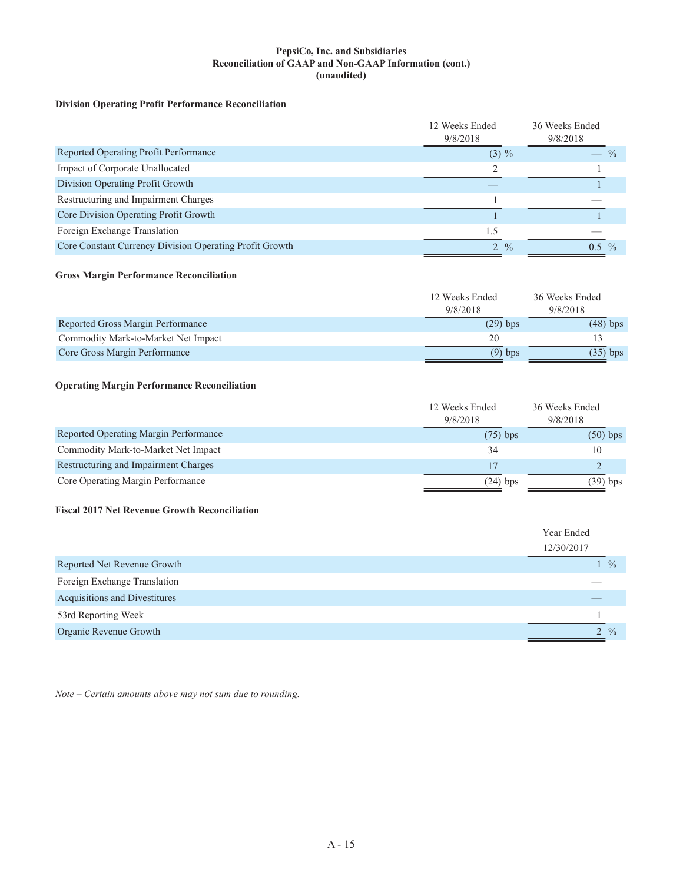#### **PepsiCo, Inc. and Subsidiaries Reconciliation of GAAP and Non-GAAP Information (cont.) (unaudited)**

### **Division Operating Profit Performance Reconciliation**

|                                                         | 12 Weeks Ended<br>9/8/2018 | 36 Weeks Ended<br>9/8/2018 |  |
|---------------------------------------------------------|----------------------------|----------------------------|--|
| Reported Operating Profit Performance                   | $(3) \%$                   | $-$ %                      |  |
| Impact of Corporate Unallocated                         |                            |                            |  |
| Division Operating Profit Growth                        |                            |                            |  |
| Restructuring and Impairment Charges                    |                            |                            |  |
| Core Division Operating Profit Growth                   |                            |                            |  |
| Foreign Exchange Translation                            | 1.5                        |                            |  |
| Core Constant Currency Division Operating Profit Growth | $2 \frac{9}{6}$            | $\frac{0}{0}$<br>0.5       |  |

#### **Gross Margin Performance Reconciliation**

|                                     | 12 Weeks Ended | 36 Weeks Ended |  |
|-------------------------------------|----------------|----------------|--|
|                                     | 9/8/2018       | 9/8/2018       |  |
| Reported Gross Margin Performance   | $(29)$ bps     | $(48)$ bps     |  |
| Commodity Mark-to-Market Net Impact | 20             |                |  |
| Core Gross Margin Performance       | $(9)$ bps      | $(35)$ bps     |  |

### **Operating Margin Performance Reconciliation**

|                                       | 12 Weeks Ended | 36 Weeks Ended |  |
|---------------------------------------|----------------|----------------|--|
|                                       | 9/8/2018       | 9/8/2018       |  |
| Reported Operating Margin Performance | $(75)$ bps     | $(50)$ bps     |  |
| Commodity Mark-to-Market Net Impact   | 34             |                |  |
| Restructuring and Impairment Charges  |                |                |  |
| Core Operating Margin Performance     | $(24)$ bps     | $(39)$ bps     |  |

### **Fiscal 2017 Net Revenue Growth Reconciliation**

|                               | Year Ended                             |  |
|-------------------------------|----------------------------------------|--|
|                               | 12/30/2017                             |  |
| Reported Net Revenue Growth   | $\begin{bmatrix} 0 \\ 0 \end{bmatrix}$ |  |
| Foreign Exchange Translation  |                                        |  |
| Acquisitions and Divestitures |                                        |  |
| 53rd Reporting Week           |                                        |  |
| Organic Revenue Growth        | $2 \frac{9}{6}$                        |  |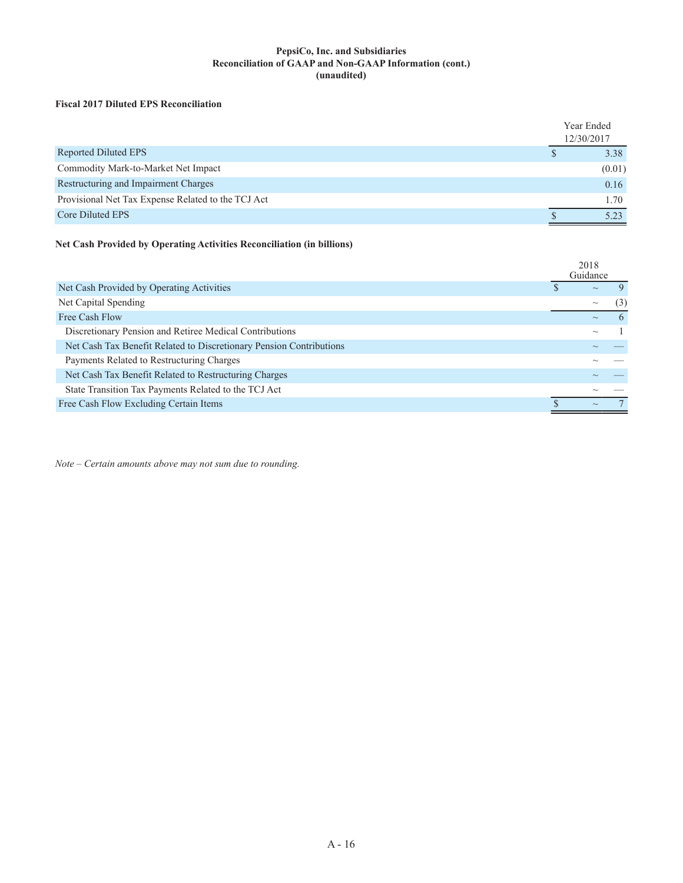#### **PepsiCo, Inc. and Subsidiaries Reconciliation of GAAP and Non-GAAP Information (cont.) (unaudited)**

### **Fiscal 2017 Diluted EPS Reconciliation**

|                                                    | Year Ended<br>12/30/2017 |        |
|----------------------------------------------------|--------------------------|--------|
| Reported Diluted EPS                               |                          | 3.38   |
| Commodity Mark-to-Market Net Impact                |                          | (0.01) |
| Restructuring and Impairment Charges               |                          | 0.16   |
| Provisional Net Tax Expense Related to the TCJ Act |                          | 1.70   |
| Core Diluted EPS                                   |                          | 5 23   |

### **Net Cash Provided by Operating Activities Reconciliation (in billions)**

|                                                                     | 2018<br>Guidance          |          |
|---------------------------------------------------------------------|---------------------------|----------|
| Net Cash Provided by Operating Activities                           | $\sim$                    |          |
| Net Capital Spending                                                | $\sim\,$                  | (3)      |
| Free Cash Flow                                                      | $\sim$                    | $\theta$ |
| Discretionary Pension and Retiree Medical Contributions             | $\widetilde{\phantom{m}}$ |          |
| Net Cash Tax Benefit Related to Discretionary Pension Contributions |                           |          |
| Payments Related to Restructuring Charges                           |                           |          |
| Net Cash Tax Benefit Related to Restructuring Charges               |                           |          |
| State Transition Tax Payments Related to the TCJ Act                |                           |          |
| Free Cash Flow Excluding Certain Items                              | $\widetilde{\phantom{m}}$ |          |